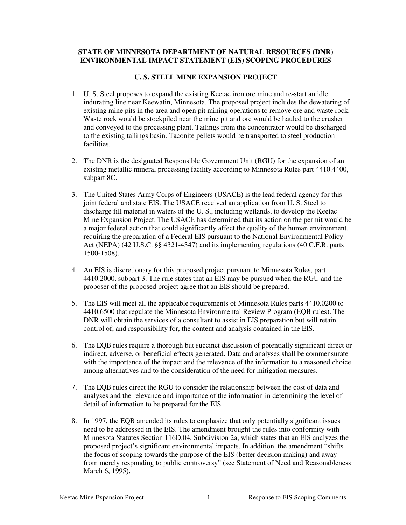#### **STATE OF MINNESOTA DEPARTMENT OF NATURAL RESOURCES (DNR) ENVIRONMENTAL IMPACT STATEMENT (EIS) SCOPING PROCEDURES**

#### **U. S. STEEL MINE EXPANSION PROJECT**

- 1. U. S. Steel proposes to expand the existing Keetac iron ore mine and re-start an idle indurating line near Keewatin, Minnesota. The proposed project includes the dewatering of existing mine pits in the area and open pit mining operations to remove ore and waste rock. Waste rock would be stockpiled near the mine pit and ore would be hauled to the crusher and conveyed to the processing plant. Tailings from the concentrator would be discharged to the existing tailings basin. Taconite pellets would be transported to steel production facilities.
- 2. The DNR is the designated Responsible Government Unit (RGU) for the expansion of an existing metallic mineral processing facility according to Minnesota Rules part 4410.4400, subpart 8C.
- 3. The United States Army Corps of Engineers (USACE) is the lead federal agency for this joint federal and state EIS. The USACE received an application from U. S. Steel to discharge fill material in waters of the U. S., including wetlands, to develop the Keetac Mine Expansion Project. The USACE has determined that its action on the permit would be a major federal action that could significantly affect the quality of the human environment, requiring the preparation of a Federal EIS pursuant to the National Environmental Policy Act (NEPA) (42 U.S.C. §§ 4321-4347) and its implementing regulations (40 C.F.R. parts 1500-1508).
- 4. An EIS is discretionary for this proposed project pursuant to Minnesota Rules, part 4410.2000, subpart 3. The rule states that an EIS may be pursued when the RGU and the proposer of the proposed project agree that an EIS should be prepared.
- 5. The EIS will meet all the applicable requirements of Minnesota Rules parts 4410.0200 to 4410.6500 that regulate the Minnesota Environmental Review Program (EQB rules). The DNR will obtain the services of a consultant to assist in EIS preparation but will retain control of, and responsibility for, the content and analysis contained in the EIS.
- 6. The EQB rules require a thorough but succinct discussion of potentially significant direct or indirect, adverse, or beneficial effects generated. Data and analyses shall be commensurate with the importance of the impact and the relevance of the information to a reasoned choice among alternatives and to the consideration of the need for mitigation measures.
- 7. The EQB rules direct the RGU to consider the relationship between the cost of data and analyses and the relevance and importance of the information in determining the level of detail of information to be prepared for the EIS.
- 8. In 1997, the EQB amended its rules to emphasize that only potentially significant issues need to be addressed in the EIS. The amendment brought the rules into conformity with Minnesota Statutes Section 116D.04, Subdivision 2a, which states that an EIS analyzes the proposed project's significant environmental impacts. In addition, the amendment "shifts the focus of scoping towards the purpose of the EIS (better decision making) and away from merely responding to public controversy" (see Statement of Need and Reasonableness March 6, 1995).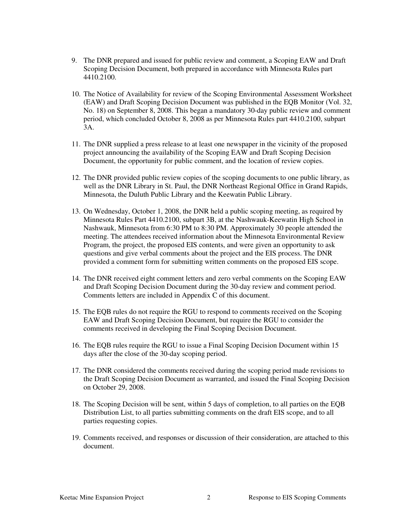- 9. The DNR prepared and issued for public review and comment, a Scoping EAW and Draft Scoping Decision Document, both prepared in accordance with Minnesota Rules part 4410.2100.
- 10. The Notice of Availability for review of the Scoping Environmental Assessment Worksheet (EAW) and Draft Scoping Decision Document was published in the EQB Monitor (Vol. 32, No. 18) on September 8, 2008. This began a mandatory 30-day public review and comment period, which concluded October 8, 2008 as per Minnesota Rules part 4410.2100, subpart 3A.
- 11. The DNR supplied a press release to at least one newspaper in the vicinity of the proposed project announcing the availability of the Scoping EAW and Draft Scoping Decision Document, the opportunity for public comment, and the location of review copies.
- 12. The DNR provided public review copies of the scoping documents to one public library, as well as the DNR Library in St. Paul, the DNR Northeast Regional Office in Grand Rapids, Minnesota, the Duluth Public Library and the Keewatin Public Library.
- 13. On Wednesday, October 1, 2008, the DNR held a public scoping meeting, as required by Minnesota Rules Part 4410.2100, subpart 3B, at the Nashwauk-Keewatin High School in Nashwauk, Minnesota from 6:30 PM to 8:30 PM. Approximately 30 people attended the meeting. The attendees received information about the Minnesota Environmental Review Program, the project, the proposed EIS contents, and were given an opportunity to ask questions and give verbal comments about the project and the EIS process. The DNR provided a comment form for submitting written comments on the proposed EIS scope.
- 14. The DNR received eight comment letters and zero verbal comments on the Scoping EAW and Draft Scoping Decision Document during the 30-day review and comment period. Comments letters are included in Appendix C of this document.
- 15. The EQB rules do not require the RGU to respond to comments received on the Scoping EAW and Draft Scoping Decision Document, but require the RGU to consider the comments received in developing the Final Scoping Decision Document.
- 16. The EQB rules require the RGU to issue a Final Scoping Decision Document within 15 days after the close of the 30-day scoping period.
- 17. The DNR considered the comments received during the scoping period made revisions to the Draft Scoping Decision Document as warranted, and issued the Final Scoping Decision on October 29, 2008.
- 18. The Scoping Decision will be sent, within 5 days of completion, to all parties on the EQB Distribution List, to all parties submitting comments on the draft EIS scope, and to all parties requesting copies.
- 19. Comments received, and responses or discussion of their consideration, are attached to this document.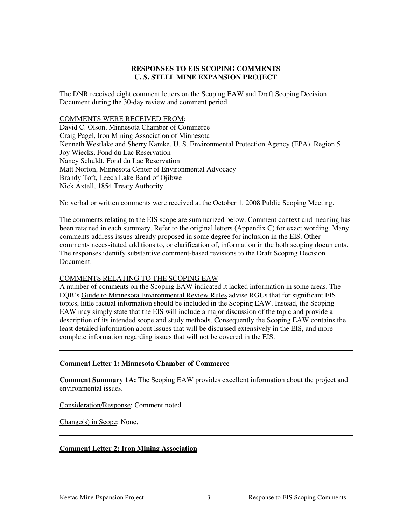#### **RESPONSES TO EIS SCOPING COMMENTS U. S. STEEL MINE EXPANSION PROJECT**

The DNR received eight comment letters on the Scoping EAW and Draft Scoping Decision Document during the 30-day review and comment period.

#### COMMENTS WERE RECEIVED FROM:

David C. Olson, Minnesota Chamber of Commerce Craig Pagel, Iron Mining Association of Minnesota Kenneth Westlake and Sherry Kamke, U. S. Environmental Protection Agency (EPA), Region 5 Joy Wiecks, Fond du Lac Reservation Nancy Schuldt, Fond du Lac Reservation Matt Norton, Minnesota Center of Environmental Advocacy Brandy Toft, Leech Lake Band of Ojibwe Nick Axtell, 1854 Treaty Authority

No verbal or written comments were received at the October 1, 2008 Public Scoping Meeting.

The comments relating to the EIS scope are summarized below. Comment context and meaning has been retained in each summary. Refer to the original letters (Appendix C) for exact wording. Many comments address issues already proposed in some degree for inclusion in the EIS. Other comments necessitated additions to, or clarification of, information in the both scoping documents. The responses identify substantive comment-based revisions to the Draft Scoping Decision Document.

#### COMMENTS RELATING TO THE SCOPING EAW

A number of comments on the Scoping EAW indicated it lacked information in some areas. The EQB's Guide to Minnesota Environmental Review Rules advise RGUs that for significant EIS topics, little factual information should be included in the Scoping EAW. Instead, the Scoping EAW may simply state that the EIS will include a major discussion of the topic and provide a description of its intended scope and study methods. Consequently the Scoping EAW contains the least detailed information about issues that will be discussed extensively in the EIS, and more complete information regarding issues that will not be covered in the EIS.

#### **Comment Letter 1: Minnesota Chamber of Commerce**

**Comment Summary 1A:** The Scoping EAW provides excellent information about the project and environmental issues.

Consideration/Response: Comment noted.

Change(s) in Scope: None.

#### **Comment Letter 2: Iron Mining Association**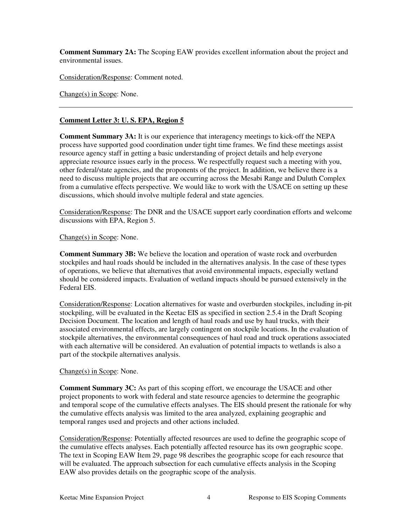**Comment Summary 2A:** The Scoping EAW provides excellent information about the project and environmental issues.

Consideration/Response: Comment noted.

Change(s) in Scope: None.

#### **Comment Letter 3: U. S. EPA, Region 5**

**Comment Summary 3A:** It is our experience that interagency meetings to kick-off the NEPA process have supported good coordination under tight time frames. We find these meetings assist resource agency staff in getting a basic understanding of project details and help everyone appreciate resource issues early in the process. We respectfully request such a meeting with you, other federal/state agencies, and the proponents of the project. In addition, we believe there is a need to discuss multiple projects that are occurring across the Mesabi Range and Duluth Complex from a cumulative effects perspective. We would like to work with the USACE on setting up these discussions, which should involve multiple federal and state agencies.

Consideration/Response: The DNR and the USACE support early coordination efforts and welcome discussions with EPA, Region 5.

#### Change(s) in Scope: None.

**Comment Summary 3B:** We believe the location and operation of waste rock and overburden stockpiles and haul roads should be included in the alternatives analysis. In the case of these types of operations, we believe that alternatives that avoid environmental impacts, especially wetland should be considered impacts. Evaluation of wetland impacts should be pursued extensively in the Federal EIS.

Consideration/Response: Location alternatives for waste and overburden stockpiles, including in-pit stockpiling, will be evaluated in the Keetac EIS as specified in section 2.5.4 in the Draft Scoping Decision Document. The location and length of haul roads and use by haul trucks, with their associated environmental effects, are largely contingent on stockpile locations. In the evaluation of stockpile alternatives, the environmental consequences of haul road and truck operations associated with each alternative will be considered. An evaluation of potential impacts to wetlands is also a part of the stockpile alternatives analysis.

#### Change(s) in Scope: None.

**Comment Summary 3C:** As part of this scoping effort, we encourage the USACE and other project proponents to work with federal and state resource agencies to determine the geographic and temporal scope of the cumulative effects analyses. The EIS should present the rationale for why the cumulative effects analysis was limited to the area analyzed, explaining geographic and temporal ranges used and projects and other actions included.

Consideration/Response: Potentially affected resources are used to define the geographic scope of the cumulative effects analyses. Each potentially affected resource has its own geographic scope. The text in Scoping EAW Item 29, page 98 describes the geographic scope for each resource that will be evaluated. The approach subsection for each cumulative effects analysis in the Scoping EAW also provides details on the geographic scope of the analysis.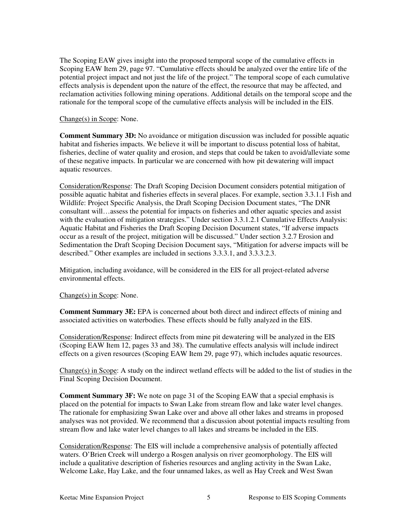The Scoping EAW gives insight into the proposed temporal scope of the cumulative effects in Scoping EAW Item 29, page 97. "Cumulative effects should be analyzed over the entire life of the potential project impact and not just the life of the project." The temporal scope of each cumulative effects analysis is dependent upon the nature of the effect, the resource that may be affected, and reclamation activities following mining operations. Additional details on the temporal scope and the rationale for the temporal scope of the cumulative effects analysis will be included in the EIS.

#### Change(s) in Scope: None.

**Comment Summary 3D:** No avoidance or mitigation discussion was included for possible aquatic habitat and fisheries impacts. We believe it will be important to discuss potential loss of habitat, fisheries, decline of water quality and erosion, and steps that could be taken to avoid/alleviate some of these negative impacts. In particular we are concerned with how pit dewatering will impact aquatic resources.

Consideration/Response: The Draft Scoping Decision Document considers potential mitigation of possible aquatic habitat and fisheries effects in several places. For example, section 3.3.1.1 Fish and Wildlife: Project Specific Analysis, the Draft Scoping Decision Document states, "The DNR consultant will…assess the potential for impacts on fisheries and other aquatic species and assist with the evaluation of mitigation strategies." Under section 3.3.1.2.1 Cumulative Effects Analysis: Aquatic Habitat and Fisheries the Draft Scoping Decision Document states, "If adverse impacts occur as a result of the project, mitigation will be discussed." Under section 3.2.7 Erosion and Sedimentation the Draft Scoping Decision Document says, "Mitigation for adverse impacts will be described." Other examples are included in sections 3.3.3.1, and 3.3.3.2.3.

Mitigation, including avoidance, will be considered in the EIS for all project-related adverse environmental effects.

#### Change(s) in Scope: None.

**Comment Summary 3E:** EPA is concerned about both direct and indirect effects of mining and associated activities on waterbodies. These effects should be fully analyzed in the EIS.

Consideration/Response: Indirect effects from mine pit dewatering will be analyzed in the EIS (Scoping EAW Item 12, pages 33 and 38). The cumulative effects analysis will include indirect effects on a given resources (Scoping EAW Item 29, page 97), which includes aquatic resources.

Change(s) in Scope: A study on the indirect wetland effects will be added to the list of studies in the Final Scoping Decision Document.

**Comment Summary 3F:** We note on page 31 of the Scoping EAW that a special emphasis is placed on the potential for impacts to Swan Lake from stream flow and lake water level changes. The rationale for emphasizing Swan Lake over and above all other lakes and streams in proposed analyses was not provided. We recommend that a discussion about potential impacts resulting from stream flow and lake water level changes to all lakes and streams be included in the EIS.

Consideration/Response: The EIS will include a comprehensive analysis of potentially affected waters. O'Brien Creek will undergo a Rosgen analysis on river geomorphology. The EIS will include a qualitative description of fisheries resources and angling activity in the Swan Lake, Welcome Lake, Hay Lake, and the four unnamed lakes, as well as Hay Creek and West Swan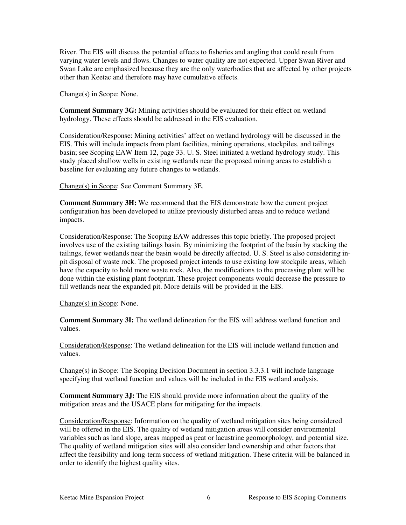River. The EIS will discuss the potential effects to fisheries and angling that could result from varying water levels and flows. Changes to water quality are not expected. Upper Swan River and Swan Lake are emphasized because they are the only waterbodies that are affected by other projects other than Keetac and therefore may have cumulative effects.

Change(s) in Scope: None.

**Comment Summary 3G:** Mining activities should be evaluated for their effect on wetland hydrology. These effects should be addressed in the EIS evaluation.

Consideration/Response: Mining activities' affect on wetland hydrology will be discussed in the EIS. This will include impacts from plant facilities, mining operations, stockpiles, and tailings basin; see Scoping EAW Item 12, page 33. U. S. Steel initiated a wetland hydrology study. This study placed shallow wells in existing wetlands near the proposed mining areas to establish a baseline for evaluating any future changes to wetlands.

Change(s) in Scope: See Comment Summary 3E.

**Comment Summary 3H:** We recommend that the EIS demonstrate how the current project configuration has been developed to utilize previously disturbed areas and to reduce wetland impacts.

Consideration/Response: The Scoping EAW addresses this topic briefly. The proposed project involves use of the existing tailings basin. By minimizing the footprint of the basin by stacking the tailings, fewer wetlands near the basin would be directly affected. U. S. Steel is also considering inpit disposal of waste rock. The proposed project intends to use existing low stockpile areas, which have the capacity to hold more waste rock. Also, the modifications to the processing plant will be done within the existing plant footprint. These project components would decrease the pressure to fill wetlands near the expanded pit. More details will be provided in the EIS.

Change(s) in Scope: None.

**Comment Summary 3I:** The wetland delineation for the EIS will address wetland function and values.

Consideration/Response: The wetland delineation for the EIS will include wetland function and values.

Change(s) in Scope: The Scoping Decision Document in section 3.3.3.1 will include language specifying that wetland function and values will be included in the EIS wetland analysis.

**Comment Summary 3J:** The EIS should provide more information about the quality of the mitigation areas and the USACE plans for mitigating for the impacts.

Consideration/Response: Information on the quality of wetland mitigation sites being considered will be offered in the EIS. The quality of wetland mitigation areas will consider environmental variables such as land slope, areas mapped as peat or lacustrine geomorphology, and potential size. The quality of wetland mitigation sites will also consider land ownership and other factors that affect the feasibility and long-term success of wetland mitigation. These criteria will be balanced in order to identify the highest quality sites.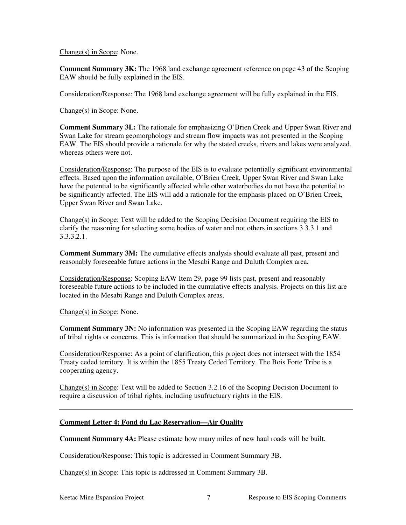Change(s) in Scope: None.

**Comment Summary 3K:** The 1968 land exchange agreement reference on page 43 of the Scoping EAW should be fully explained in the EIS.

Consideration/Response: The 1968 land exchange agreement will be fully explained in the EIS.

Change(s) in Scope: None.

**Comment Summary 3L:** The rationale for emphasizing O'Brien Creek and Upper Swan River and Swan Lake for stream geomorphology and stream flow impacts was not presented in the Scoping EAW. The EIS should provide a rationale for why the stated creeks, rivers and lakes were analyzed, whereas others were not.

Consideration/Response: The purpose of the EIS is to evaluate potentially significant environmental effects. Based upon the information available, O'Brien Creek, Upper Swan River and Swan Lake have the potential to be significantly affected while other waterbodies do not have the potential to be significantly affected. The EIS will add a rationale for the emphasis placed on O'Brien Creek, Upper Swan River and Swan Lake.

Change(s) in Scope: Text will be added to the Scoping Decision Document requiring the EIS to clarify the reasoning for selecting some bodies of water and not others in sections 3.3.3.1 and 3.3.3.2.1.

**Comment Summary 3M:** The cumulative effects analysis should evaluate all past, present and reasonably foreseeable future actions in the Mesabi Range and Duluth Complex area**.** 

Consideration/Response: Scoping EAW Item 29, page 99 lists past, present and reasonably foreseeable future actions to be included in the cumulative effects analysis. Projects on this list are located in the Mesabi Range and Duluth Complex areas.

Change(s) in Scope: None.

**Comment Summary 3N:** No information was presented in the Scoping EAW regarding the status of tribal rights or concerns. This is information that should be summarized in the Scoping EAW.

Consideration/Response: As a point of clarification, this project does not intersect with the 1854 Treaty ceded territory. It is within the 1855 Treaty Ceded Territory. The Bois Forte Tribe is a cooperating agency.

Change(s) in Scope: Text will be added to Section 3.2.16 of the Scoping Decision Document to require a discussion of tribal rights, including usufructuary rights in the EIS.

#### **Comment Letter 4: Fond du Lac Reservation—Air Quality**

**Comment Summary 4A:** Please estimate how many miles of new haul roads will be built.

Consideration/Response: This topic is addressed in Comment Summary 3B.

Change(s) in Scope: This topic is addressed in Comment Summary 3B.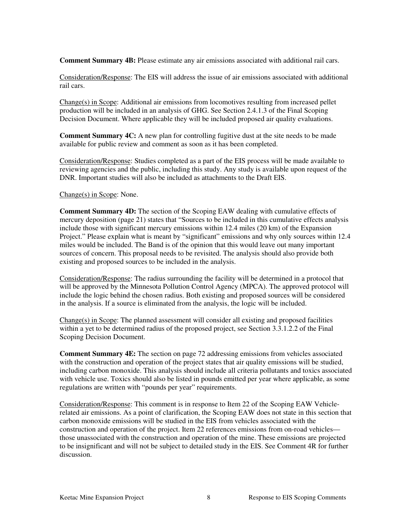**Comment Summary 4B:** Please estimate any air emissions associated with additional rail cars.

Consideration/Response: The EIS will address the issue of air emissions associated with additional rail cars.

Change(s) in Scope: Additional air emissions from locomotives resulting from increased pellet production will be included in an analysis of GHG. See Section 2.4.1.3 of the Final Scoping Decision Document. Where applicable they will be included proposed air quality evaluations.

**Comment Summary 4C:** A new plan for controlling fugitive dust at the site needs to be made available for public review and comment as soon as it has been completed.

Consideration/Response: Studies completed as a part of the EIS process will be made available to reviewing agencies and the public, including this study. Any study is available upon request of the DNR. Important studies will also be included as attachments to the Draft EIS.

#### Change(s) in Scope: None.

**Comment Summary 4D:** The section of the Scoping EAW dealing with cumulative effects of mercury deposition (page 21) states that "Sources to be included in this cumulative effects analysis include those with significant mercury emissions within 12.4 miles (20 km) of the Expansion Project." Please explain what is meant by "significant" emissions and why only sources within 12.4 miles would be included. The Band is of the opinion that this would leave out many important sources of concern. This proposal needs to be revisited. The analysis should also provide both existing and proposed sources to be included in the analysis.

Consideration/Response: The radius surrounding the facility will be determined in a protocol that will be approved by the Minnesota Pollution Control Agency (MPCA). The approved protocol will include the logic behind the chosen radius. Both existing and proposed sources will be considered in the analysis. If a source is eliminated from the analysis, the logic will be included.

Change(s) in Scope: The planned assessment will consider all existing and proposed facilities within a yet to be determined radius of the proposed project, see Section 3.3.1.2.2 of the Final Scoping Decision Document.

**Comment Summary 4E:** The section on page 72 addressing emissions from vehicles associated with the construction and operation of the project states that air quality emissions will be studied, including carbon monoxide. This analysis should include all criteria pollutants and toxics associated with vehicle use. Toxics should also be listed in pounds emitted per year where applicable, as some regulations are written with "pounds per year" requirements.

Consideration/Response: This comment is in response to Item 22 of the Scoping EAW Vehiclerelated air emissions. As a point of clarification, the Scoping EAW does not state in this section that carbon monoxide emissions will be studied in the EIS from vehicles associated with the construction and operation of the project. Item 22 references emissions from on-road vehicles those unassociated with the construction and operation of the mine. These emissions are projected to be insignificant and will not be subject to detailed study in the EIS. See Comment 4R for further discussion.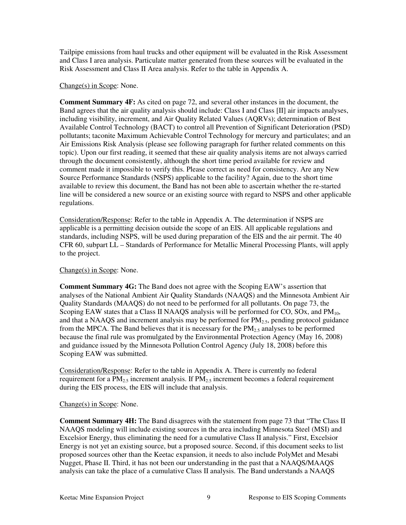Tailpipe emissions from haul trucks and other equipment will be evaluated in the Risk Assessment and Class I area analysis. Particulate matter generated from these sources will be evaluated in the Risk Assessment and Class II Area analysis. Refer to the table in Appendix A.

#### Change(s) in Scope: None.

**Comment Summary 4F:** As cited on page 72, and several other instances in the document, the Band agrees that the air quality analysis should include: Class I and Class [II] air impacts analyses, including visibility, increment, and Air Quality Related Values (AQRVs); determination of Best Available Control Technology (BACT) to control all Prevention of Significant Deterioration (PSD) pollutants; taconite Maximum Achievable Control Technology for mercury and particulates; and an Air Emissions Risk Analysis (please see following paragraph for further related comments on this topic). Upon our first reading, it seemed that these air quality analysis items are not always carried through the document consistently, although the short time period available for review and comment made it impossible to verify this. Please correct as need for consistency. Are any New Source Performance Standards (NSPS) applicable to the facility? Again, due to the short time available to review this document, the Band has not been able to ascertain whether the re-started line will be considered a new source or an existing source with regard to NSPS and other applicable regulations.

Consideration/Response: Refer to the table in Appendix A. The determination if NSPS are applicable is a permitting decision outside the scope of an EIS. All applicable regulations and standards, including NSPS, will be used during preparation of the EIS and the air permit. The 40 CFR 60, subpart LL – Standards of Performance for Metallic Mineral Processing Plants, will apply to the project.

#### Change(s) in Scope: None.

**Comment Summary 4G:** The Band does not agree with the Scoping EAW's assertion that analyses of the National Ambient Air Quality Standards (NAAQS) and the Minnesota Ambient Air Quality Standards (MAAQS) do not need to be performed for all pollutants. On page 73, the Scoping EAW states that a Class II NAAQS analysis will be performed for CO, SOx, and  $PM_{10}$ , and that a NAAQS and increment analysis may be performed for PM<sub>2.5</sub>, pending protocol guidance from the MPCA. The Band believes that it is necessary for the  $PM<sub>2.5</sub>$  analyses to be performed because the final rule was promulgated by the Environmental Protection Agency (May 16, 2008) and guidance issued by the Minnesota Pollution Control Agency (July 18, 2008) before this Scoping EAW was submitted.

Consideration/Response: Refer to the table in Appendix A. There is currently no federal requirement for a  $PM_{2.5}$  increment analysis. If  $PM_{2.5}$  increment becomes a federal requirement during the EIS process, the EIS will include that analysis.

#### Change(s) in Scope: None.

**Comment Summary 4H:** The Band disagrees with the statement from page 73 that "The Class II NAAQS modeling will include existing sources in the area including Minnesota Steel (MSI) and Excelsior Energy, thus eliminating the need for a cumulative Class II analysis." First, Excelsior Energy is not yet an existing source, but a proposed source. Second, if this document seeks to list proposed sources other than the Keetac expansion, it needs to also include PolyMet and Mesabi Nugget, Phase II. Third, it has not been our understanding in the past that a NAAQS/MAAQS analysis can take the place of a cumulative Class II analysis. The Band understands a NAAQS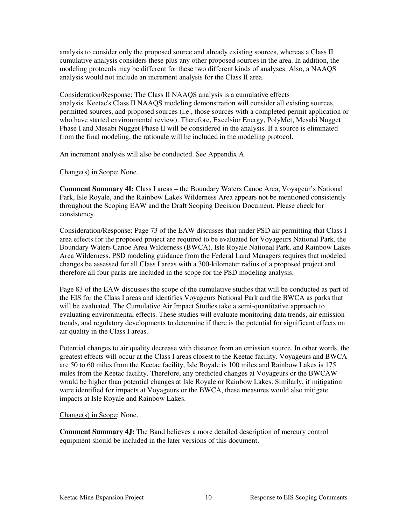analysis to consider only the proposed source and already existing sources, whereas a Class II cumulative analysis considers these plus any other proposed sources in the area. In addition, the modeling protocols may be different for these two different kinds of analyses. Also, a NAAQS analysis would not include an increment analysis for the Class II area.

Consideration/Response: The Class II NAAQS analysis is a cumulative effects analysis. Keetac's Class II NAAQS modeling demonstration will consider all existing sources, permitted sources, and proposed sources (i.e., those sources with a completed permit application or who have started environmental review). Therefore, Excelsior Energy, PolyMet, Mesabi Nugget Phase I and Mesabi Nugget Phase II will be considered in the analysis. If a source is eliminated from the final modeling, the rationale will be included in the modeling protocol.

An increment analysis will also be conducted. See Appendix A.

Change(s) in Scope: None.

**Comment Summary 4I:** Class I areas – the Boundary Waters Canoe Area, Voyageur's National Park, Isle Royale, and the Rainbow Lakes Wilderness Area appears not be mentioned consistently throughout the Scoping EAW and the Draft Scoping Decision Document. Please check for consistency.

Consideration/Response: Page 73 of the EAW discusses that under PSD air permitting that Class I area effects for the proposed project are required to be evaluated for Voyageurs National Park, the Boundary Waters Canoe Area Wilderness (BWCA), Isle Royale National Park, and Rainbow Lakes Area Wilderness. PSD modeling guidance from the Federal Land Managers requires that modeled changes be assessed for all Class I areas with a 300-kilometer radius of a proposed project and therefore all four parks are included in the scope for the PSD modeling analysis.

Page 83 of the EAW discusses the scope of the cumulative studies that will be conducted as part of the EIS for the Class I areas and identifies Voyageurs National Park and the BWCA as parks that will be evaluated. The Cumulative Air Impact Studies take a semi-quantitative approach to evaluating environmental effects. These studies will evaluate monitoring data trends, air emission trends, and regulatory developments to determine if there is the potential for significant effects on air quality in the Class I areas.

Potential changes to air quality decrease with distance from an emission source. In other words, the greatest effects will occur at the Class I areas closest to the Keetac facility. Voyageurs and BWCA are 50 to 60 miles from the Keetac facility, Isle Royale is 100 miles and Rainbow Lakes is 175 miles from the Keetac facility. Therefore, any predicted changes at Voyageurs or the BWCAW would be higher than potential changes at Isle Royale or Rainbow Lakes. Similarly, if mitigation were identified for impacts at Voyageurs or the BWCA, these measures would also mitigate impacts at Isle Royale and Rainbow Lakes.

#### Change(s) in Scope: None.

**Comment Summary 4J:** The Band believes a more detailed description of mercury control equipment should be included in the later versions of this document.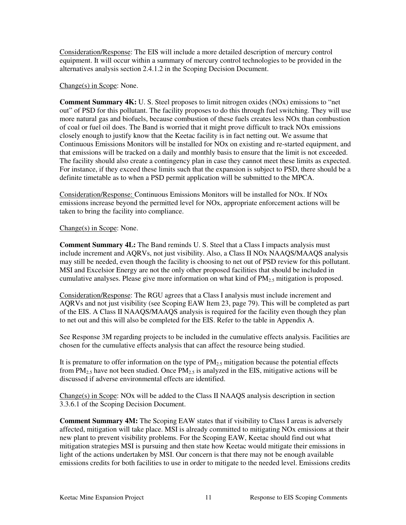Consideration/Response: The EIS will include a more detailed description of mercury control equipment. It will occur within a summary of mercury control technologies to be provided in the alternatives analysis section 2.4.1.2 in the Scoping Decision Document.

#### Change(s) in Scope: None.

**Comment Summary 4K:** U. S. Steel proposes to limit nitrogen oxides (NOx) emissions to "net out" of PSD for this pollutant. The facility proposes to do this through fuel switching. They will use more natural gas and biofuels, because combustion of these fuels creates less NOx than combustion of coal or fuel oil does. The Band is worried that it might prove difficult to track NOx emissions closely enough to justify know that the Keetac facility is in fact netting out. We assume that Continuous Emissions Monitors will be installed for NOx on existing and re-started equipment, and that emissions will be tracked on a daily and monthly basis to ensure that the limit is not exceeded. The facility should also create a contingency plan in case they cannot meet these limits as expected. For instance, if they exceed these limits such that the expansion is subject to PSD, there should be a definite timetable as to when a PSD permit application will be submitted to the MPCA.

Consideration/Response: Continuous Emissions Monitors will be installed for NOx. If NOx emissions increase beyond the permitted level for NOx, appropriate enforcement actions will be taken to bring the facility into compliance.

#### Change(s) in Scope: None.

**Comment Summary 4L:** The Band reminds U. S. Steel that a Class I impacts analysis must include increment and AQRVs, not just visibility. Also, a Class II NOx NAAQS/MAAQS analysis may still be needed, even though the facility is choosing to net out of PSD review for this pollutant. MSI and Excelsior Energy are not the only other proposed facilities that should be included in cumulative analyses. Please give more information on what kind of PM<sub>2.5</sub> mitigation is proposed.

Consideration/Response: The RGU agrees that a Class I analysis must include increment and AQRVs and not just visibility (see Scoping EAW Item 23, page 79). This will be completed as part of the EIS. A Class II NAAQS/MAAQS analysis is required for the facility even though they plan to net out and this will also be completed for the EIS. Refer to the table in Appendix A.

See Response 3M regarding projects to be included in the cumulative effects analysis. Facilities are chosen for the cumulative effects analysis that can affect the resource being studied.

It is premature to offer information on the type of  $PM<sub>25</sub>$  mitigation because the potential effects from  $PM<sub>2.5</sub>$  have not been studied. Once  $PM<sub>2.5</sub>$  is analyzed in the EIS, mitigative actions will be discussed if adverse environmental effects are identified.

 $Change(s)$  in Scope: NOx will be added to the Class II NAAQS analysis description in section 3.3.6.1 of the Scoping Decision Document.

**Comment Summary 4M:** The Scoping EAW states that if visibility to Class I areas is adversely affected, mitigation will take place. MSI is already committed to mitigating NOx emissions at their new plant to prevent visibility problems. For the Scoping EAW, Keetac should find out what mitigation strategies MSI is pursuing and then state how Keetac would mitigate their emissions in light of the actions undertaken by MSI. Our concern is that there may not be enough available emissions credits for both facilities to use in order to mitigate to the needed level. Emissions credits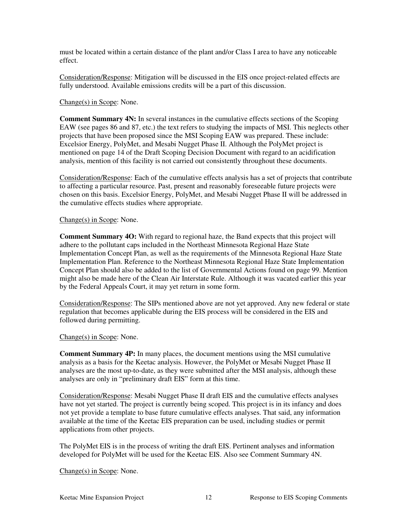must be located within a certain distance of the plant and/or Class I area to have any noticeable effect.

Consideration/Response: Mitigation will be discussed in the EIS once project-related effects are fully understood. Available emissions credits will be a part of this discussion.

#### Change(s) in Scope: None.

**Comment Summary 4N:** In several instances in the cumulative effects sections of the Scoping EAW (see pages 86 and 87, etc.) the text refers to studying the impacts of MSI. This neglects other projects that have been proposed since the MSI Scoping EAW was prepared. These include: Excelsior Energy, PolyMet, and Mesabi Nugget Phase II. Although the PolyMet project is mentioned on page 14 of the Draft Scoping Decision Document with regard to an acidification analysis, mention of this facility is not carried out consistently throughout these documents.

Consideration/Response: Each of the cumulative effects analysis has a set of projects that contribute to affecting a particular resource. Past, present and reasonably foreseeable future projects were chosen on this basis. Excelsior Energy, PolyMet, and Mesabi Nugget Phase II will be addressed in the cumulative effects studies where appropriate.

#### Change(s) in Scope: None.

**Comment Summary 4O:** With regard to regional haze, the Band expects that this project will adhere to the pollutant caps included in the Northeast Minnesota Regional Haze State Implementation Concept Plan, as well as the requirements of the Minnesota Regional Haze State Implementation Plan. Reference to the Northeast Minnesota Regional Haze State Implementation Concept Plan should also be added to the list of Governmental Actions found on page 99. Mention might also be made here of the Clean Air Interstate Rule. Although it was vacated earlier this year by the Federal Appeals Court, it may yet return in some form.

Consideration/Response: The SIPs mentioned above are not yet approved. Any new federal or state regulation that becomes applicable during the EIS process will be considered in the EIS and followed during permitting.

#### Change(s) in Scope: None.

**Comment Summary 4P:** In many places, the document mentions using the MSI cumulative analysis as a basis for the Keetac analysis. However, the PolyMet or Mesabi Nugget Phase II analyses are the most up-to-date, as they were submitted after the MSI analysis, although these analyses are only in "preliminary draft EIS" form at this time.

Consideration/Response: Mesabi Nugget Phase II draft EIS and the cumulative effects analyses have not yet started. The project is currently being scoped. This project is in its infancy and does not yet provide a template to base future cumulative effects analyses. That said, any information available at the time of the Keetac EIS preparation can be used, including studies or permit applications from other projects.

The PolyMet EIS is in the process of writing the draft EIS. Pertinent analyses and information developed for PolyMet will be used for the Keetac EIS. Also see Comment Summary 4N.

Change(s) in Scope: None.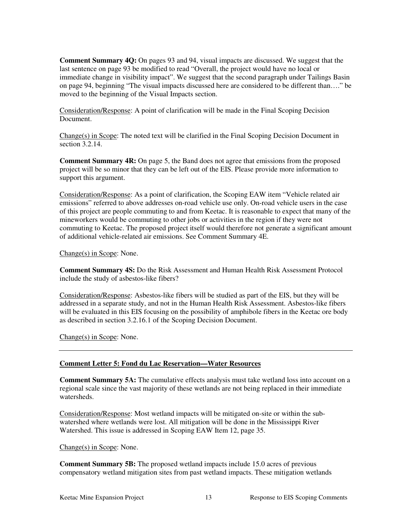**Comment Summary 4Q:** On pages 93 and 94, visual impacts are discussed. We suggest that the last sentence on page 93 be modified to read "Overall, the project would have no local or immediate change in visibility impact". We suggest that the second paragraph under Tailings Basin on page 94, beginning "The visual impacts discussed here are considered to be different than…." be moved to the beginning of the Visual Impacts section.

Consideration/Response: A point of clarification will be made in the Final Scoping Decision Document.

Change(s) in Scope: The noted text will be clarified in the Final Scoping Decision Document in section 3.2.14.

**Comment Summary 4R:** On page 5, the Band does not agree that emissions from the proposed project will be so minor that they can be left out of the EIS. Please provide more information to support this argument.

Consideration/Response: As a point of clarification, the Scoping EAW item "Vehicle related air emissions" referred to above addresses on-road vehicle use only. On-road vehicle users in the case of this project are people commuting to and from Keetac. It is reasonable to expect that many of the mineworkers would be commuting to other jobs or activities in the region if they were not commuting to Keetac. The proposed project itself would therefore not generate a significant amount of additional vehicle-related air emissions. See Comment Summary 4E.

Change(s) in Scope: None.

**Comment Summary 4S:** Do the Risk Assessment and Human Health Risk Assessment Protocol include the study of asbestos-like fibers?

Consideration/Response: Asbestos-like fibers will be studied as part of the EIS, but they will be addressed in a separate study, and not in the Human Health Risk Assessment. Asbestos-like fibers will be evaluated in this EIS focusing on the possibility of amphibole fibers in the Keetac ore body as described in section 3.2.16.1 of the Scoping Decision Document.

Change(s) in Scope: None.

#### **Comment Letter 5: Fond du Lac Reservation—Water Resources**

**Comment Summary 5A:** The cumulative effects analysis must take wetland loss into account on a regional scale since the vast majority of these wetlands are not being replaced in their immediate watersheds.

Consideration/Response: Most wetland impacts will be mitigated on-site or within the subwatershed where wetlands were lost. All mitigation will be done in the Mississippi River Watershed. This issue is addressed in Scoping EAW Item 12, page 35.

#### Change(s) in Scope: None.

**Comment Summary 5B:** The proposed wetland impacts include 15.0 acres of previous compensatory wetland mitigation sites from past wetland impacts. These mitigation wetlands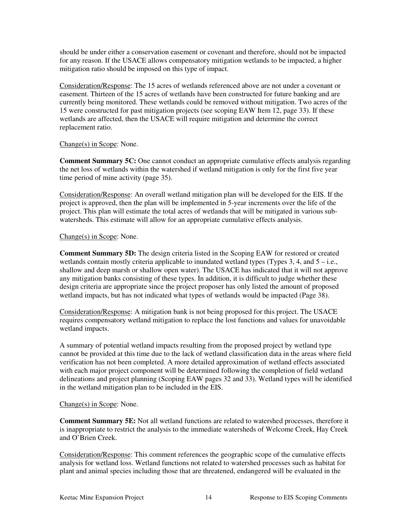should be under either a conservation easement or covenant and therefore, should not be impacted for any reason. If the USACE allows compensatory mitigation wetlands to be impacted, a higher mitigation ratio should be imposed on this type of impact.

Consideration/Response: The 15 acres of wetlands referenced above are not under a covenant or easement. Thirteen of the 15 acres of wetlands have been constructed for future banking and are currently being monitored. These wetlands could be removed without mitigation. Two acres of the 15 were constructed for past mitigation projects (see scoping EAW Item 12, page 33). If these wetlands are affected, then the USACE will require mitigation and determine the correct replacement ratio.

#### Change(s) in Scope: None.

**Comment Summary 5C:** One cannot conduct an appropriate cumulative effects analysis regarding the net loss of wetlands within the watershed if wetland mitigation is only for the first five year time period of mine activity (page 35).

Consideration/Response: An overall wetland mitigation plan will be developed for the EIS. If the project is approved, then the plan will be implemented in 5-year increments over the life of the project. This plan will estimate the total acres of wetlands that will be mitigated in various subwatersheds. This estimate will allow for an appropriate cumulative effects analysis.

#### Change(s) in Scope: None.

**Comment Summary 5D:** The design criteria listed in the Scoping EAW for restored or created wetlands contain mostly criteria applicable to inundated wetland types (Types  $3, 4$ , and  $5 - i.e.,$ shallow and deep marsh or shallow open water). The USACE has indicated that it will not approve any mitigation banks consisting of these types. In addition, it is difficult to judge whether these design criteria are appropriate since the project proposer has only listed the amount of proposed wetland impacts, but has not indicated what types of wetlands would be impacted (Page 38).

Consideration/Response: A mitigation bank is not being proposed for this project. The USACE requires compensatory wetland mitigation to replace the lost functions and values for unavoidable wetland impacts.

A summary of potential wetland impacts resulting from the proposed project by wetland type cannot be provided at this time due to the lack of wetland classification data in the areas where field verification has not been completed. A more detailed approximation of wetland effects associated with each major project component will be determined following the completion of field wetland delineations and project planning (Scoping EAW pages 32 and 33). Wetland types will be identified in the wetland mitigation plan to be included in the EIS.

#### Change(s) in Scope: None.

**Comment Summary 5E:** Not all wetland functions are related to watershed processes, therefore it is inappropriate to restrict the analysis to the immediate watersheds of Welcome Creek, Hay Creek and O'Brien Creek.

Consideration/Response: This comment references the geographic scope of the cumulative effects analysis for wetland loss. Wetland functions not related to watershed processes such as habitat for plant and animal species including those that are threatened, endangered will be evaluated in the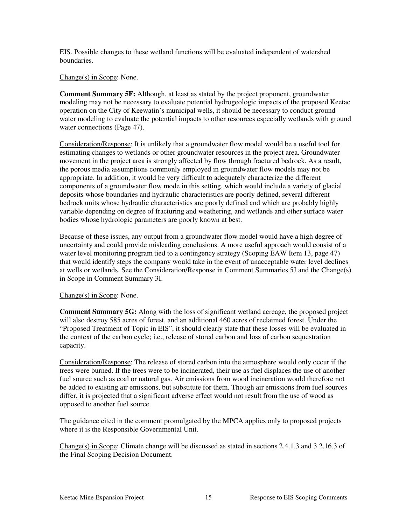EIS. Possible changes to these wetland functions will be evaluated independent of watershed boundaries.

Change(s) in Scope: None.

**Comment Summary 5F:** Although, at least as stated by the project proponent, groundwater modeling may not be necessary to evaluate potential hydrogeologic impacts of the proposed Keetac operation on the City of Keewatin's municipal wells, it should be necessary to conduct ground water modeling to evaluate the potential impacts to other resources especially wetlands with ground water connections (Page 47).

Consideration/Response: It is unlikely that a groundwater flow model would be a useful tool for estimating changes to wetlands or other groundwater resources in the project area. Groundwater movement in the project area is strongly affected by flow through fractured bedrock. As a result, the porous media assumptions commonly employed in groundwater flow models may not be appropriate. In addition, it would be very difficult to adequately characterize the different components of a groundwater flow mode in this setting, which would include a variety of glacial deposits whose boundaries and hydraulic characteristics are poorly defined, several different bedrock units whose hydraulic characteristics are poorly defined and which are probably highly variable depending on degree of fracturing and weathering, and wetlands and other surface water bodies whose hydrologic parameters are poorly known at best.

Because of these issues, any output from a groundwater flow model would have a high degree of uncertainty and could provide misleading conclusions. A more useful approach would consist of a water level monitoring program tied to a contingency strategy (Scoping EAW Item 13, page 47) that would identify steps the company would take in the event of unacceptable water level declines at wells or wetlands. See the Consideration/Response in Comment Summaries 5J and the Change(s) in Scope in Comment Summary 3I.

#### Change(s) in Scope: None.

**Comment Summary 5G:** Along with the loss of significant wetland acreage, the proposed project will also destroy 585 acres of forest, and an additional 460 acres of reclaimed forest. Under the "Proposed Treatment of Topic in EIS", it should clearly state that these losses will be evaluated in the context of the carbon cycle; i.e., release of stored carbon and loss of carbon sequestration capacity.

Consideration/Response: The release of stored carbon into the atmosphere would only occur if the trees were burned. If the trees were to be incinerated, their use as fuel displaces the use of another fuel source such as coal or natural gas. Air emissions from wood incineration would therefore not be added to existing air emissions, but substitute for them. Though air emissions from fuel sources differ, it is projected that a significant adverse effect would not result from the use of wood as opposed to another fuel source.

The guidance cited in the comment promulgated by the MPCA applies only to proposed projects where it is the Responsible Governmental Unit.

Change(s) in Scope: Climate change will be discussed as stated in sections 2.4.1.3 and 3.2.16.3 of the Final Scoping Decision Document.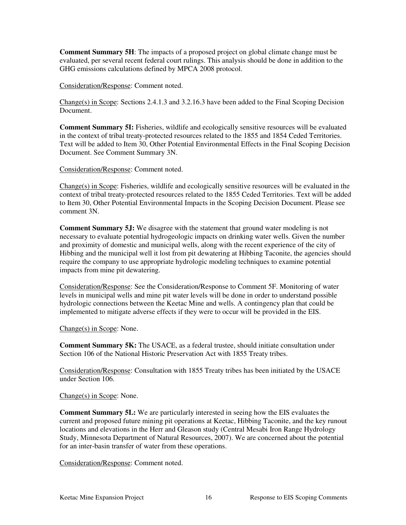**Comment Summary 5H**: The impacts of a proposed project on global climate change must be evaluated, per several recent federal court rulings. This analysis should be done in addition to the GHG emissions calculations defined by MPCA 2008 protocol.

Consideration/Response: Comment noted.

Change(s) in Scope: Sections 2.4.1.3 and 3.2.16.3 have been added to the Final Scoping Decision Document.

**Comment Summary 5I:** Fisheries, wildlife and ecologically sensitive resources will be evaluated in the context of tribal treaty-protected resources related to the 1855 and 1854 Ceded Territories. Text will be added to Item 30, Other Potential Environmental Effects in the Final Scoping Decision Document. See Comment Summary 3N.

Consideration/Response: Comment noted.

Change(s) in Scope: Fisheries, wildlife and ecologically sensitive resources will be evaluated in the context of tribal treaty-protected resources related to the 1855 Ceded Territories. Text will be added to Item 30, Other Potential Environmental Impacts in the Scoping Decision Document. Please see comment 3N.

**Comment Summary 5J:** We disagree with the statement that ground water modeling is not necessary to evaluate potential hydrogeologic impacts on drinking water wells. Given the number and proximity of domestic and municipal wells, along with the recent experience of the city of Hibbing and the municipal well it lost from pit dewatering at Hibbing Taconite, the agencies should require the company to use appropriate hydrologic modeling techniques to examine potential impacts from mine pit dewatering.

Consideration/Response: See the Consideration/Response to Comment 5F. Monitoring of water levels in municipal wells and mine pit water levels will be done in order to understand possible hydrologic connections between the Keetac Mine and wells. A contingency plan that could be implemented to mitigate adverse effects if they were to occur will be provided in the EIS.

Change(s) in Scope: None.

**Comment Summary 5K:** The USACE, as a federal trustee, should initiate consultation under Section 106 of the National Historic Preservation Act with 1855 Treaty tribes.

Consideration/Response: Consultation with 1855 Treaty tribes has been initiated by the USACE under Section 106.

Change(s) in Scope: None.

**Comment Summary 5L:** We are particularly interested in seeing how the EIS evaluates the current and proposed future mining pit operations at Keetac, Hibbing Taconite, and the key runout locations and elevations in the Herr and Gleason study (Central Mesabi Iron Range Hydrology Study, Minnesota Department of Natural Resources, 2007). We are concerned about the potential for an inter-basin transfer of water from these operations.

Consideration/Response: Comment noted.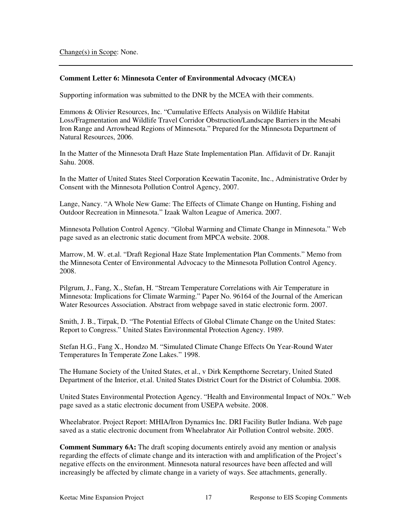#### **Comment Letter 6: Minnesota Center of Environmental Advocacy (MCEA)**

Supporting information was submitted to the DNR by the MCEA with their comments.

Emmons & Olivier Resources, Inc. "Cumulative Effects Analysis on Wildlife Habitat Loss/Fragmentation and Wildlife Travel Corridor Obstruction/Landscape Barriers in the Mesabi Iron Range and Arrowhead Regions of Minnesota." Prepared for the Minnesota Department of Natural Resources, 2006.

In the Matter of the Minnesota Draft Haze State Implementation Plan. Affidavit of Dr. Ranajit Sahu. 2008.

In the Matter of United States Steel Corporation Keewatin Taconite, Inc., Administrative Order by Consent with the Minnesota Pollution Control Agency, 2007.

Lange, Nancy. "A Whole New Game: The Effects of Climate Change on Hunting, Fishing and Outdoor Recreation in Minnesota." Izaak Walton League of America. 2007.

Minnesota Pollution Control Agency. "Global Warming and Climate Change in Minnesota." Web page saved as an electronic static document from MPCA website. 2008.

Marrow, M. W. et.al. "Draft Regional Haze State Implementation Plan Comments." Memo from the Minnesota Center of Environmental Advocacy to the Minnesota Pollution Control Agency. 2008.

Pilgrum, J., Fang, X., Stefan, H. "Stream Temperature Correlations with Air Temperature in Minnesota: Implications for Climate Warming." Paper No. 96164 of the Journal of the American Water Resources Association. Abstract from webpage saved in static electronic form. 2007.

Smith, J. B., Tirpak, D. "The Potential Effects of Global Climate Change on the United States: Report to Congress." United States Environmental Protection Agency. 1989.

Stefan H.G., Fang X., Hondzo M. "Simulated Climate Change Effects On Year-Round Water Temperatures In Temperate Zone Lakes." 1998.

The Humane Society of the United States, et al., v Dirk Kempthorne Secretary, United Stated Department of the Interior, et.al. United States District Court for the District of Columbia. 2008.

United States Environmental Protection Agency. "Health and Environmental Impact of NOx." Web page saved as a static electronic document from USEPA website. 2008.

Wheelabrator. Project Report: MHIA/Iron Dynamics Inc. DRI Facility Butler Indiana. Web page saved as a static electronic document from Wheelabrator Air Pollution Control website. 2005.

**Comment Summary 6A:** The draft scoping documents entirely avoid any mention or analysis regarding the effects of climate change and its interaction with and amplification of the Project's negative effects on the environment. Minnesota natural resources have been affected and will increasingly be affected by climate change in a variety of ways. See attachments, generally.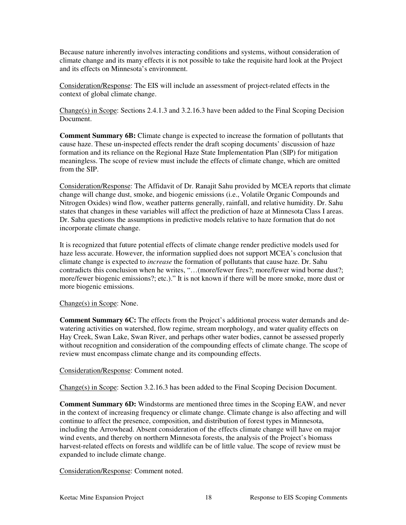Because nature inherently involves interacting conditions and systems, without consideration of climate change and its many effects it is not possible to take the requisite hard look at the Project and its effects on Minnesota's environment.

Consideration/Response: The EIS will include an assessment of project-related effects in the context of global climate change.

Change(s) in Scope: Sections 2.4.1.3 and 3.2.16.3 have been added to the Final Scoping Decision Document.

**Comment Summary 6B:** Climate change is expected to increase the formation of pollutants that cause haze. These un-inspected effects render the draft scoping documents' discussion of haze formation and its reliance on the Regional Haze State Implementation Plan (SIP) for mitigation meaningless. The scope of review must include the effects of climate change, which are omitted from the SIP.

Consideration/Response: The Affidavit of Dr. Ranajit Sahu provided by MCEA reports that climate change will change dust, smoke, and biogenic emissions (i.e., Volatile Organic Compounds and Nitrogen Oxides) wind flow, weather patterns generally, rainfall, and relative humidity. Dr. Sahu states that changes in these variables will affect the prediction of haze at Minnesota Class I areas. Dr. Sahu questions the assumptions in predictive models relative to haze formation that do not incorporate climate change.

It is recognized that future potential effects of climate change render predictive models used for haze less accurate. However, the information supplied does not support MCEA's conclusion that climate change is expected to *increase* the formation of pollutants that cause haze. Dr. Sahu contradicts this conclusion when he writes, "…(more/fewer fires?; more/fewer wind borne dust?; more/fewer biogenic emissions?; etc.)." It is not known if there will be more smoke, more dust or more biogenic emissions.

#### Change(s) in Scope: None.

**Comment Summary 6C:** The effects from the Project's additional process water demands and dewatering activities on watershed, flow regime, stream morphology, and water quality effects on Hay Creek, Swan Lake, Swan River, and perhaps other water bodies, cannot be assessed properly without recognition and consideration of the compounding effects of climate change. The scope of review must encompass climate change and its compounding effects.

#### Consideration/Response: Comment noted.

Change(s) in Scope: Section 3.2.16.3 has been added to the Final Scoping Decision Document.

**Comment Summary 6D:** Windstorms are mentioned three times in the Scoping EAW, and never in the context of increasing frequency or climate change. Climate change is also affecting and will continue to affect the presence, composition, and distribution of forest types in Minnesota, including the Arrowhead. Absent consideration of the effects climate change will have on major wind events, and thereby on northern Minnesota forests, the analysis of the Project's biomass harvest-related effects on forests and wildlife can be of little value. The scope of review must be expanded to include climate change.

Consideration/Response: Comment noted.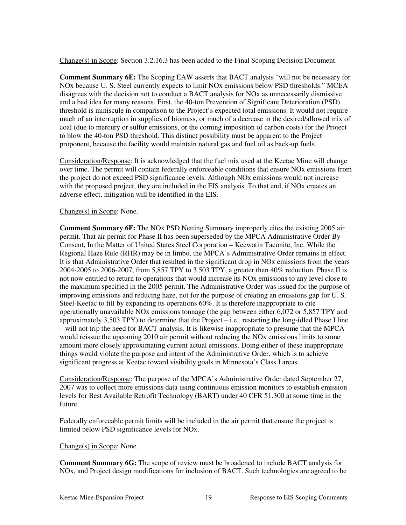Change(s) in Scope: Section 3.2.16.3 has been added to the Final Scoping Decision Document.

**Comment Summary 6E:** The Scoping EAW asserts that BACT analysis "will not be necessary for NOx because U. S. Steel currently expects to limit NOx emissions below PSD thresholds." MCEA disagrees with the decision not to conduct a BACT analysis for NOx as unnecessarily dismissive and a bad idea for many reasons. First, the 40-ton Prevention of Significant Deterioration (PSD) threshold is miniscule in comparison to the Project's expected total emissions. It would not require much of an interruption in supplies of biomass, or much of a decrease in the desired/allowed mix of coal (due to mercury or sulfur emissions, or the coming imposition of carbon costs) for the Project to blow the 40-ton PSD threshold. This distinct possibility must be apparent to the Project proponent, because the facility would maintain natural gas and fuel oil as back-up fuels.

Consideration/Response: It is acknowledged that the fuel mix used at the Keetac Mine will change over time. The permit will contain federally enforceable conditions that ensure NOx emissions from the project do not exceed PSD significance levels. Although NOx emissions would not increase with the proposed project, they are included in the EIS analysis. To that end, if NOx creates an adverse effect, mitigation will be identified in the EIS.

#### Change(s) in Scope: None.

**Comment Summary 6F:** The NOx PSD Netting Summary improperly cites the existing 2005 air permit. That air permit for Phase II has been superseded by the MPCA Administrative Order By Consent, In the Matter of United States Steel Corporation – Keewatin Taconite, Inc. While the Regional Haze Rule (RHR) may be in limbo, the MPCA's Administrative Order remains in effect. It is that Administrative Order that resulted in the significant drop in NOx emissions from the years 2004-2005 to 2006-2007, from 5,857 TPY to 3,503 TPY, a greater than 40% reduction. Phase II is not now entitled to return to operations that would increase its NOx emissions to any level close to the maximum specified in the 2005 permit. The Administrative Order was issued for the purpose of improving emissions and reducing haze, not for the purpose of creating an emissions gap for U. S. Steel-Keetac to fill by expanding its operations 60%. It is therefore inappropriate to cite operationally unavailable NOx emissions tonnage (the gap between either 6,072 or 5,857 TPY and approximately 3,503 TPY) to determine that the Project  $-$  i.e., restarting the long-idled Phase I line – will not trip the need for BACT analysis. It is likewise inappropriate to presume that the MPCA would reissue the upcoming 2010 air permit without reducing the NOx emissions limits to some amount more closely approximating current actual emissions. Doing either of these inappropriate things would violate the purpose and intent of the Administrative Order, which is to achieve significant progress at Keetac toward visibility goals in Minnesota's Class I areas.

Consideration/Response: The purpose of the MPCA's Administrative Order dated September 27, 2007 was to collect more emissions data using continuous emission monitors to establish emission levels for Best Available Retrofit Technology (BART) under 40 CFR 51.300 at some time in the future.

Federally enforceable permit limits will be included in the air permit that ensure the project is limited below PSD significance levels for NOx.

#### Change(s) in Scope: None.

**Comment Summary 6G:** The scope of review must be broadened to include BACT analysis for NOx, and Project design modifications for inclusion of BACT. Such technologies are agreed to be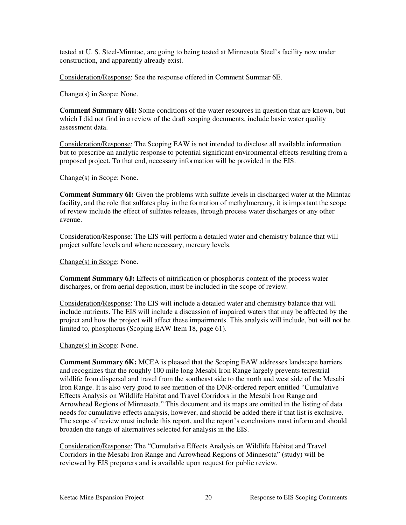tested at U. S. Steel-Minntac, are going to being tested at Minnesota Steel's facility now under construction, and apparently already exist.

Consideration/Response: See the response offered in Comment Summar 6E.

Change(s) in Scope: None.

**Comment Summary 6H:** Some conditions of the water resources in question that are known, but which I did not find in a review of the draft scoping documents, include basic water quality assessment data.

Consideration/Response: The Scoping EAW is not intended to disclose all available information but to prescribe an analytic response to potential significant environmental effects resulting from a proposed project. To that end, necessary information will be provided in the EIS.

Change(s) in Scope: None.

**Comment Summary 6I:** Given the problems with sulfate levels in discharged water at the Minntac facility, and the role that sulfates play in the formation of methylmercury, it is important the scope of review include the effect of sulfates releases, through process water discharges or any other avenue.

Consideration/Response: The EIS will perform a detailed water and chemistry balance that will project sulfate levels and where necessary, mercury levels.

Change(s) in Scope: None.

**Comment Summary 6J:** Effects of nitrification or phosphorus content of the process water discharges, or from aerial deposition, must be included in the scope of review.

Consideration/Response: The EIS will include a detailed water and chemistry balance that will include nutrients. The EIS will include a discussion of impaired waters that may be affected by the project and how the project will affect these impairments. This analysis will include, but will not be limited to, phosphorus (Scoping EAW Item 18, page 61).

Change(s) in Scope: None.

**Comment Summary 6K:** MCEA is pleased that the Scoping EAW addresses landscape barriers and recognizes that the roughly 100 mile long Mesabi Iron Range largely prevents terrestrial wildlife from dispersal and travel from the southeast side to the north and west side of the Mesabi Iron Range. It is also very good to see mention of the DNR-ordered report entitled "Cumulative Effects Analysis on Wildlife Habitat and Travel Corridors in the Mesabi Iron Range and Arrowhead Regions of Minnesota." This document and its maps are omitted in the listing of data needs for cumulative effects analysis, however, and should be added there if that list is exclusive. The scope of review must include this report, and the report's conclusions must inform and should broaden the range of alternatives selected for analysis in the EIS.

Consideration/Response: The "Cumulative Effects Analysis on Wildlife Habitat and Travel Corridors in the Mesabi Iron Range and Arrowhead Regions of Minnesota" (study) will be reviewed by EIS preparers and is available upon request for public review.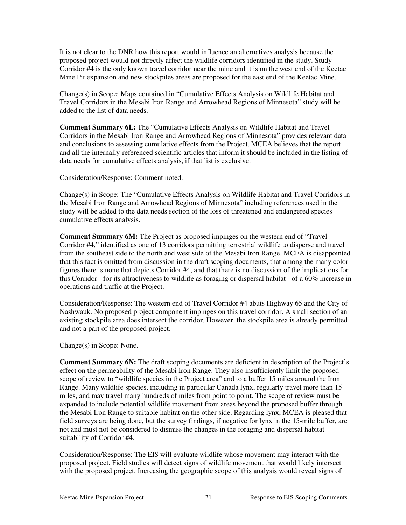It is not clear to the DNR how this report would influence an alternatives analysis because the proposed project would not directly affect the wildlife corridors identified in the study. Study Corridor #4 is the only known travel corridor near the mine and it is on the west end of the Keetac Mine Pit expansion and new stockpiles areas are proposed for the east end of the Keetac Mine.

Change(s) in Scope: Maps contained in "Cumulative Effects Analysis on Wildlife Habitat and Travel Corridors in the Mesabi Iron Range and Arrowhead Regions of Minnesota" study will be added to the list of data needs.

**Comment Summary 6L:** The "Cumulative Effects Analysis on Wildlife Habitat and Travel Corridors in the Mesabi Iron Range and Arrowhead Regions of Minnesota" provides relevant data and conclusions to assessing cumulative effects from the Project. MCEA believes that the report and all the internally-referenced scientific articles that inform it should be included in the listing of data needs for cumulative effects analysis, if that list is exclusive.

#### Consideration/Response: Comment noted.

Change(s) in Scope: The "Cumulative Effects Analysis on Wildlife Habitat and Travel Corridors in the Mesabi Iron Range and Arrowhead Regions of Minnesota" including references used in the study will be added to the data needs section of the loss of threatened and endangered species cumulative effects analysis.

**Comment Summary 6M:** The Project as proposed impinges on the western end of "Travel Corridor #4," identified as one of 13 corridors permitting terrestrial wildlife to disperse and travel from the southeast side to the north and west side of the Mesabi Iron Range. MCEA is disappointed that this fact is omitted from discussion in the draft scoping documents, that among the many color figures there is none that depicts Corridor #4, and that there is no discussion of the implications for this Corridor - for its attractiveness to wildlife as foraging or dispersal habitat - of a 60% increase in operations and traffic at the Project.

Consideration/Response: The western end of Travel Corridor #4 abuts Highway 65 and the City of Nashwauk. No proposed project component impinges on this travel corridor. A small section of an existing stockpile area does intersect the corridor. However, the stockpile area is already permitted and not a part of the proposed project.

#### Change(s) in Scope: None.

**Comment Summary 6N:** The draft scoping documents are deficient in description of the Project's effect on the permeability of the Mesabi Iron Range. They also insufficiently limit the proposed scope of review to "wildlife species in the Project area" and to a buffer 15 miles around the Iron Range. Many wildlife species, including in particular Canada lynx, regularly travel more than 15 miles, and may travel many hundreds of miles from point to point. The scope of review must be expanded to include potential wildlife movement from areas beyond the proposed buffer through the Mesabi Iron Range to suitable habitat on the other side. Regarding lynx, MCEA is pleased that field surveys are being done, but the survey findings, if negative for lynx in the 15-mile buffer, are not and must not be considered to dismiss the changes in the foraging and dispersal habitat suitability of Corridor #4.

Consideration/Response: The EIS will evaluate wildlife whose movement may interact with the proposed project. Field studies will detect signs of wildlife movement that would likely intersect with the proposed project. Increasing the geographic scope of this analysis would reveal signs of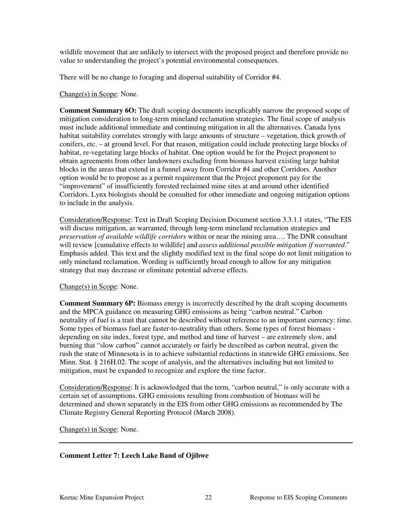wildlife movement that are unlikely to intersect with the proposed project and therefore provide no value to understanding the project's potential environmental consequences.

There will be no change to foraging and dispersal suitability of Corridor #4.

#### Change(s) in Scope: None.

**Comment Summary 6O:** The draft scoping documents inexplicably narrow the proposed scope of mitigation consideration to long-term mineland reclamation strategies. The final scope of analysis must include additional immediate and continuing mitigation in all the alternatives. Canada lynx habitat suitability correlates strongly with large amounts of structure – vegetation, thick growth of conifers, etc. – at ground level. For that reason, mitigation could include protecting large blocks of habitat, re-vegetating large blocks of habitat. One option would be for the Project proponent to obtain agreements from other landowners excluding from biomass harvest existing large habitat blocks in the areas that extend in a funnel away from Corridor #4 and other Corridors. Another option would be to propose as a permit requirement that the Project proponent pay for the "improvement" of insufficiently forested reclaimed mine sites at and around other identified Corridors. Lynx biologists should be consulted for other immediate and ongoing mitigation options to include in the analysis.

Consideration/Response: Text in Draft Scoping Decision Document section 3.3.1.1 states, "The EIS will discuss mitigation, as warranted, through long-term mineland reclamation strategies and *preservation of available wildlife corridors* within or near the mining area…. The DNR consultant will review [cumulative effects to wildlife] and *assess additional possible mitigation if warranted*." Emphasis added. This text and the slightly modified text in the final scope do not limit mitigation to only mineland reclamation. Wording is sufficiently broad enough to allow for any mitigation strategy that may decrease or eliminate potential adverse effects.

#### Change(s) in Scope: None.

**Comment Summary 6P:** Biomass energy is incorrectly described by the draft scoping documents and the MPCA guidance on measuring GHG emissions as being "carbon neutral." Carbon neutrality of fuel is a trait that cannot be described without reference to an important currency: time. Some types of biomass fuel are faster-to-neutrality than others. Some types of forest biomass depending on site index, forest type, and method and time of harvest – are extremely slow, and burning that "slow carbon" cannot accurately or fairly be described as carbon neutral, given the rush the state of Minnesota is in to achieve substantial reductions in statewide GHG emissions. See Minn. Stat. § 216H.02. The scope of analysis, and the alternatives including but not limited to mitigation, must be expanded to recognize and explore the time factor.

Consideration/Response: It is acknowledged that the term, "carbon neutral," is only accurate with a certain set of assumptions. GHG emissions resulting from combustion of biomass will be determined and shown separately in the EIS from other GHG emissions as recommended by The Climate Registry General Reporting Protocol (March 2008).

Change(s) in Scope: None.

#### **Comment Letter 7: Leech Lake Band of Ojibwe**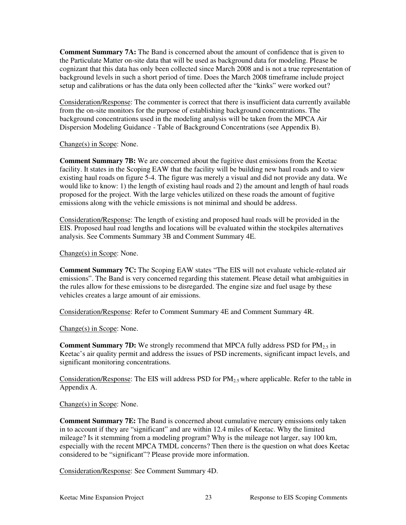**Comment Summary 7A:** The Band is concerned about the amount of confidence that is given to the Particulate Matter on-site data that will be used as background data for modeling. Please be cognizant that this data has only been collected since March 2008 and is not a true representation of background levels in such a short period of time. Does the March 2008 timeframe include project setup and calibrations or has the data only been collected after the "kinks" were worked out?

Consideration/Response: The commenter is correct that there is insufficient data currently available from the on-site monitors for the purpose of establishing background concentrations. The background concentrations used in the modeling analysis will be taken from the MPCA Air Dispersion Modeling Guidance - Table of Background Concentrations (see Appendix B).

#### Change(s) in Scope: None.

**Comment Summary 7B:** We are concerned about the fugitive dust emissions from the Keetac facility. It states in the Scoping EAW that the facility will be building new haul roads and to view existing haul roads on figure 5-4. The figure was merely a visual and did not provide any data. We would like to know: 1) the length of existing haul roads and 2) the amount and length of haul roads proposed for the project. With the large vehicles utilized on these roads the amount of fugitive emissions along with the vehicle emissions is not minimal and should be address.

Consideration/Response: The length of existing and proposed haul roads will be provided in the EIS. Proposed haul road lengths and locations will be evaluated within the stockpiles alternatives analysis. See Comments Summary 3B and Comment Summary 4E.

Change(s) in Scope: None.

**Comment Summary 7C:** The Scoping EAW states "The EIS will not evaluate vehicle-related air emissions". The Band is very concerned regarding this statement. Please detail what ambiguities in the rules allow for these emissions to be disregarded. The engine size and fuel usage by these vehicles creates a large amount of air emissions.

Consideration/Response: Refer to Comment Summary 4E and Comment Summary 4R.

Change(s) in Scope: None.

**Comment Summary 7D:** We strongly recommend that MPCA fully address PSD for PM<sub>2.5</sub> in Keetac's air quality permit and address the issues of PSD increments, significant impact levels, and significant monitoring concentrations.

Consideration/Response: The EIS will address PSD for  $PM_{2.5}$  where applicable. Refer to the table in Appendix A.

Change(s) in Scope: None.

**Comment Summary 7E:** The Band is concerned about cumulative mercury emissions only taken in to account if they are "significant" and are within 12.4 miles of Keetac. Why the limited mileage? Is it stemming from a modeling program? Why is the mileage not larger, say 100 km, especially with the recent MPCA TMDL concerns? Then there is the question on what does Keetac considered to be "significant"? Please provide more information.

Consideration/Response: See Comment Summary 4D.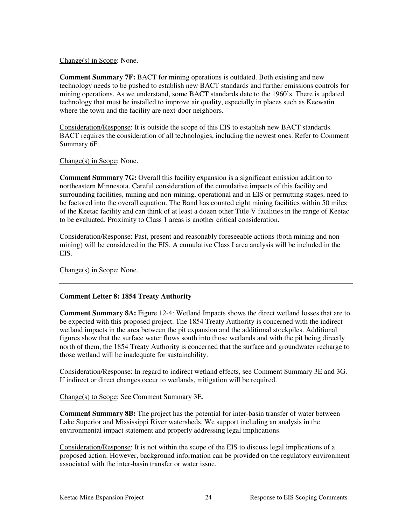#### Change(s) in Scope: None.

**Comment Summary 7F: BACT** for mining operations is outdated. Both existing and new technology needs to be pushed to establish new BACT standards and further emissions controls for mining operations. As we understand, some BACT standards date to the 1960's. There is updated technology that must be installed to improve air quality, especially in places such as Keewatin where the town and the facility are next-door neighbors.

Consideration/Response: It is outside the scope of this EIS to establish new BACT standards. BACT requires the consideration of all technologies, including the newest ones. Refer to Comment Summary 6F.

Change(s) in Scope: None.

**Comment Summary 7G:** Overall this facility expansion is a significant emission addition to northeastern Minnesota. Careful consideration of the cumulative impacts of this facility and surrounding facilities, mining and non-mining, operational and in EIS or permitting stages, need to be factored into the overall equation. The Band has counted eight mining facilities within 50 miles of the Keetac facility and can think of at least a dozen other Title V facilities in the range of Keetac to be evaluated. Proximity to Class 1 areas is another critical consideration.

Consideration/Response: Past, present and reasonably foreseeable actions (both mining and nonmining) will be considered in the EIS. A cumulative Class I area analysis will be included in the EIS.

Change(s) in Scope: None.

#### **Comment Letter 8: 1854 Treaty Authority**

**Comment Summary 8A:** Figure 12-4: Wetland Impacts shows the direct wetland losses that are to be expected with this proposed project. The 1854 Treaty Authority is concerned with the indirect wetland impacts in the area between the pit expansion and the additional stockpiles. Additional figures show that the surface water flows south into those wetlands and with the pit being directly north of them, the 1854 Treaty Authority is concerned that the surface and groundwater recharge to those wetland will be inadequate for sustainability.

Consideration/Response: In regard to indirect wetland effects, see Comment Summary 3E and 3G. If indirect or direct changes occur to wetlands, mitigation will be required.

Change(s) to Scope: See Comment Summary 3E.

**Comment Summary 8B:** The project has the potential for inter-basin transfer of water between Lake Superior and Mississippi River watersheds. We support including an analysis in the environmental impact statement and properly addressing legal implications.

Consideration/Response: It is not within the scope of the EIS to discuss legal implications of a proposed action. However, background information can be provided on the regulatory environment associated with the inter-basin transfer or water issue.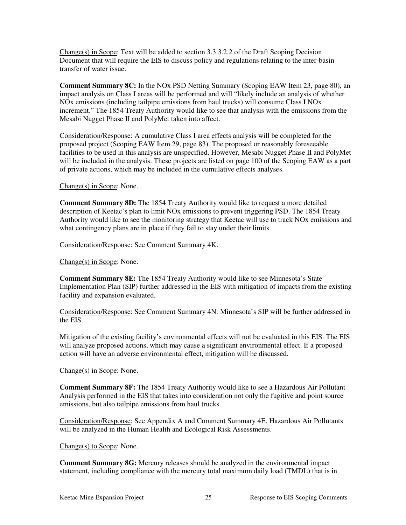Change(s) in Scope: Text will be added to section 3.3.3.2.2 of the Draft Scoping Decision Document that will require the EIS to discuss policy and regulations relating to the inter-basin transfer of water issue.

**Comment Summary 8C:** In the NOx PSD Netting Summary (Scoping EAW Item 23, page 80), an impact analysis on Class I areas will be performed and will "likely include an analysis of whether NOx emissions (including tailpipe emissions from haul trucks) will consume Class I NOx increment." The 1854 Treaty Authority would like to see that analysis with the emissions from the Mesabi Nugget Phase II and PolyMet taken into affect.

Consideration/Response: A cumulative Class I area effects analysis will be completed for the proposed project (Scoping EAW Item 29, page 83). The proposed or reasonably foreseeable facilities to be used in this analysis are unspecified. However, Mesabi Nugget Phase II and PolyMet will be included in the analysis. These projects are listed on page 100 of the Scoping EAW as a part of private actions, which may be included in the cumulative effects analyses.

#### Change(s) in Scope: None.

**Comment Summary 8D:** The 1854 Treaty Authority would like to request a more detailed description of Keetac's plan to limit NOx emissions to prevent triggering PSD. The 1854 Treaty Authority would like to see the monitoring strategy that Keetac will use to track NOx emissions and what contingency plans are in place if they fail to stay under their limits.

Consideration/Response: See Comment Summary 4K.

Change(s) in Scope: None.

**Comment Summary 8E:** The 1854 Treaty Authority would like to see Minnesota's State Implementation Plan (SIP) further addressed in the EIS with mitigation of impacts from the existing facility and expansion evaluated.

Consideration/Response: See Comment Summary 4N. Minnesota's SIP will be further addressed in the EIS.

Mitigation of the existing facility's environmental effects will not be evaluated in this EIS. The EIS will analyze proposed actions, which may cause a significant environmental effect. If a proposed action will have an adverse environmental effect, mitigation will be discussed.

#### Change(s) in Scope: None.

**Comment Summary 8F:** The 1854 Treaty Authority would like to see a Hazardous Air Pollutant Analysis performed in the EIS that takes into consideration not only the fugitive and point source emissions, but also tailpipe emissions from haul trucks.

Consideration/Response: See Appendix A and Comment Summary 4E. Hazardous Air Pollutants will be analyzed in the Human Health and Ecological Risk Assessments.

#### Change(s) to Scope: None.

**Comment Summary 8G:** Mercury releases should be analyzed in the environmental impact statement, including compliance with the mercury total maximum daily load (TMDL) that is in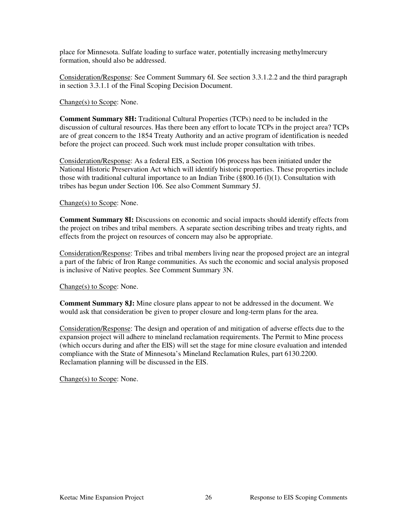place for Minnesota. Sulfate loading to surface water, potentially increasing methylmercury formation, should also be addressed.

Consideration/Response: See Comment Summary 6I. See section 3.3.1.2.2 and the third paragraph in section 3.3.1.1 of the Final Scoping Decision Document.

#### Change(s) to Scope: None.

**Comment Summary 8H:** Traditional Cultural Properties (TCPs) need to be included in the discussion of cultural resources. Has there been any effort to locate TCPs in the project area? TCPs are of great concern to the 1854 Treaty Authority and an active program of identification is needed before the project can proceed. Such work must include proper consultation with tribes.

Consideration/Response: As a federal EIS, a Section 106 process has been initiated under the National Historic Preservation Act which will identify historic properties. These properties include those with traditional cultural importance to an Indian Tribe (§800.16 (l)(1). Consultation with tribes has begun under Section 106. See also Comment Summary 5J.

#### Change(s) to Scope: None.

**Comment Summary 8I:** Discussions on economic and social impacts should identify effects from the project on tribes and tribal members. A separate section describing tribes and treaty rights, and effects from the project on resources of concern may also be appropriate.

Consideration/Response: Tribes and tribal members living near the proposed project are an integral a part of the fabric of Iron Range communities. As such the economic and social analysis proposed is inclusive of Native peoples. See Comment Summary 3N.

#### Change(s) to Scope: None.

**Comment Summary 8J:** Mine closure plans appear to not be addressed in the document. We would ask that consideration be given to proper closure and long-term plans for the area.

Consideration/Response: The design and operation of and mitigation of adverse effects due to the expansion project will adhere to mineland reclamation requirements. The Permit to Mine process (which occurs during and after the EIS) will set the stage for mine closure evaluation and intended compliance with the State of Minnesota's Mineland Reclamation Rules, part 6130.2200. Reclamation planning will be discussed in the EIS.

Change(s) to Scope: None.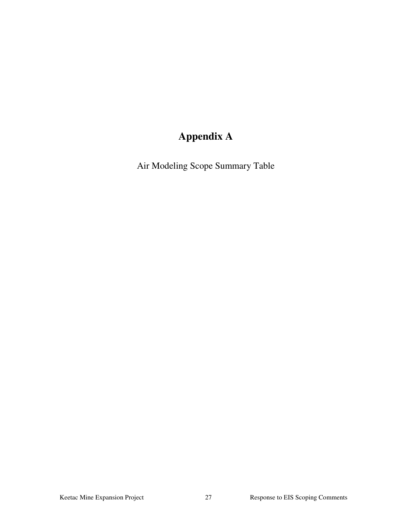# **Appendix A**

Air Modeling Scope Summary Table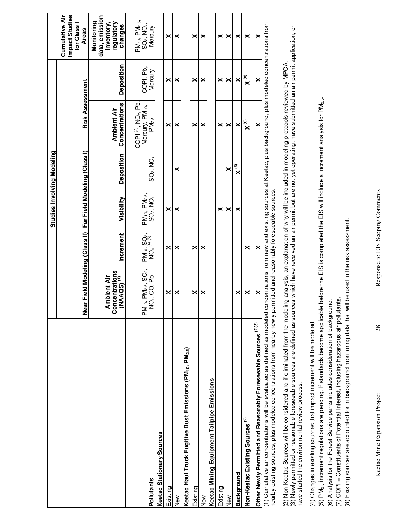|                                                                                                                                                                                                |                                                                                      |                                                          | Studies Involving Modeling           |                          |                                                                                                                   |                      |                                                                                          |
|------------------------------------------------------------------------------------------------------------------------------------------------------------------------------------------------|--------------------------------------------------------------------------------------|----------------------------------------------------------|--------------------------------------|--------------------------|-------------------------------------------------------------------------------------------------------------------|----------------------|------------------------------------------------------------------------------------------|
|                                                                                                                                                                                                | Near Field Modeling (Class II) Far Field Modeling (Class I)                          |                                                          |                                      |                          | <b>Risk Assessment</b>                                                                                            |                      | <b>Cumulative Air</b><br>Impact Studies<br>for Class I<br><b>Areas</b>                   |
|                                                                                                                                                                                                | Concentrations<br>$(NAAGS)$ <sup><math>(1)</math></sup><br><b>Ambient Air</b>        | Increment                                                | Visibility                           | Deposition               | Concentrations<br><b>Ambient Air</b>                                                                              | Deposition           | data, emission<br>Monitoring<br>inventory,<br>regulatory<br>changes                      |
| <b>Pollutants</b>                                                                                                                                                                              | PM <sub>10</sub> , PM <sub>2.5</sub> , SO <sub>2</sub> ,<br>NO <sub>x</sub> , CO, Pb | $PM_{10}$ , SO <sub>2</sub> ,<br>NO <sub>x</sub> (4) (5) | $PM_{10}$ , $PM_{2.5}$ , $MO_{\chi}$ | $SO_2$ , NO <sub>x</sub> | $\mathsf{COPI}^{(7)}, \mathsf{NO}_{\mathsf{X}}, \mathsf{Pb},$<br>Mercury, PM <sub>10</sub> ,<br>PM <sub>2.5</sub> | COPI, Pb,<br>Mercury | PM <sub>10</sub> , PM <sub>2.5</sub> ,<br>SO <sub>2</sub> , NO <sub>x</sub> ,<br>Mercury |
| Keetac Stationary Sources                                                                                                                                                                      |                                                                                      |                                                          |                                      |                          |                                                                                                                   |                      |                                                                                          |
| Existing                                                                                                                                                                                       | ×                                                                                    | ×                                                        | ×                                    |                          | ×                                                                                                                 | ×                    | ×                                                                                        |
| New                                                                                                                                                                                            | ×                                                                                    | ×                                                        | ×                                    | ×                        | ×                                                                                                                 | ×                    | ×                                                                                        |
| Keetac Haul Truck Fugitive Dust Emissions (PM <sub>10</sub> , PM <sub>2.5</sub> )                                                                                                              |                                                                                      |                                                          |                                      |                          |                                                                                                                   |                      |                                                                                          |
| Existing                                                                                                                                                                                       | ×                                                                                    | ×                                                        |                                      |                          | ×                                                                                                                 | ×                    | ×                                                                                        |
| New                                                                                                                                                                                            | ×                                                                                    | ×                                                        |                                      |                          | ×                                                                                                                 | ×                    | ×                                                                                        |
| Keetac Mining Equipment Tailpipe Emissions                                                                                                                                                     |                                                                                      |                                                          |                                      |                          |                                                                                                                   |                      |                                                                                          |
| Existing                                                                                                                                                                                       |                                                                                      |                                                          | ×                                    |                          | ×                                                                                                                 | ×                    | ×                                                                                        |
| New                                                                                                                                                                                            |                                                                                      |                                                          | ×                                    | ×                        | ×                                                                                                                 | ×                    | ×                                                                                        |
| Background                                                                                                                                                                                     | ×                                                                                    |                                                          | ×                                    | $\mathsf{X}^{(6)}$       | ×                                                                                                                 | ×                    | ×                                                                                        |
| Non-Keetac Existing Sources <sup>(2)</sup>                                                                                                                                                     | ×                                                                                    | ×                                                        |                                      |                          | $\mathbf{X}^{(8)}$                                                                                                | $\mathbf{X}^{(8)}$   | ×                                                                                        |
| Other Newly Permitted and Reasonably Foreseeable Sources <sup>(2)(3)</sup>                                                                                                                     | ×                                                                                    | ×                                                        |                                      |                          | ×                                                                                                                 | ×                    | ×                                                                                        |
| (1) Cumulative air concentrations will be evaluated as defined as defined as modeled concentrations from new and existing sources at Keetac, plus background, plus modeled concentrations from |                                                                                      |                                                          |                                      |                          |                                                                                                                   |                      |                                                                                          |

nearby existing sources, plus modeled concentrations from nearby newly permitted and reasonably foreseeable sources. nearby existing sources, plus modeled concentrations from nearby newly permitted and reasonably foreseeable sources. (2) Non-Keetac Sources will be considered and if eliminated from the modeling analysis, an explanation of why will be included in modeling protocols reviewed by MPCA.<br>(3) Newly permitted or reasonable foreseeable sources a (3) Newly permitted or reasonable foreseeable sources are defined as sources which have received an air permit but are not yet operating, have submitted an air permit application, or (2) Non-Keetac Sources will be considered and if eliminated from the modeling analysis, an explanation of why will be included in modeling protocols reviewed by MPCA. have started the environmental review process.

(4) Changes in existing sources that impact increment will be modeled. (4) Changes in existing sources that impact increment will be modeled.

(5) PM2.5 increment regulations are pending. If standards become applicable before the EIS is completed the EIS will include a increment analysis for PM2.5. (5) PM<sub>2.5</sub> increment regulations are pending. If standards become applicable before the EIS is completed the EIS will include a increment analysis for PM<sub>2.5</sub>,

(6) Analysis for the Forest Service parks includes consideration of background.<br>(7) COPI = Constituents of Potential Interest, including hazardous air pollutants. (6) Analysis for the Forest Service parks includes consideration of background.

(7) COPI = Constituents of Potential Interest, including hazardous air pollutants.

(8) Existing sources are accounted for in background monitoring data that will be used in the risk assessment. (8) Existing sources are accounted for in background monitoring data that will be used in the risk assessment.

 $28$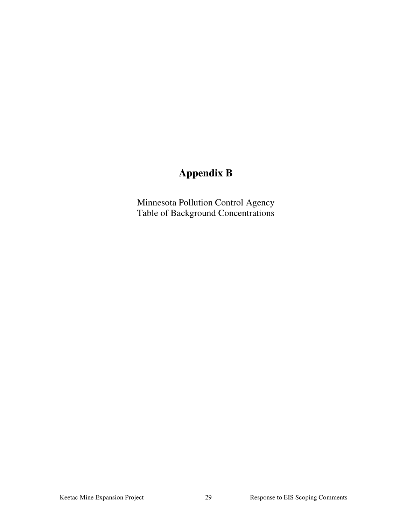## **Appendix B**

Minnesota Pollution Control Agency Table of Background Concentrations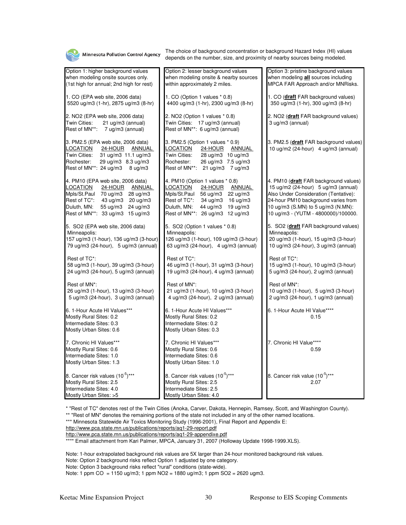

\* "Rest of TC" denotes rest of the Twin Cities (Anoka, Carver, Dakota, Hennepin, Ramsey, Scott, and Washington County).

\*\* "Rest of MN" denotes the remaining portions of the state not included in any of the other named locations.

http://www.pca.state.mn.us/publications/reports/aq1-29-report.pdf

http://www.pca.state.mn.us/publications/reports/aq1-29-appendixe.pdf

\*\*\*\* Email attachment from Kari Palmer, MPCA, January 31, 2007 (Holloway Update 1998-1999.XLS).

Note: 1-hour extrapolated background risk values are 5X larger than 24-hour monitored background risk values.

Note: Option 2 background risks reflect Option 1 adjusted by one category.

Note: Option 3 background risks reflect "rural" conditions (state-wide).

Note: 1 ppm CO = 1150 ug/m3; 1 ppm NO2 = 1880 ug/m3; 1 ppm SO2 = 2620 ugm3.

<sup>\*\*\*</sup> Minnesota Statewide Air Toxics Monitoring Study (1996-2001), Final Report and Appendix E: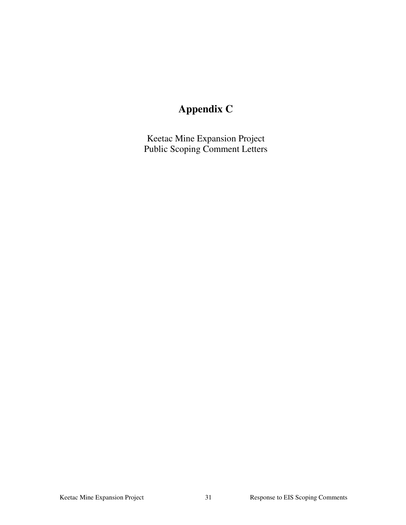# **Appendix C**

Keetac Mine Expansion Project Public Scoping Comment Letters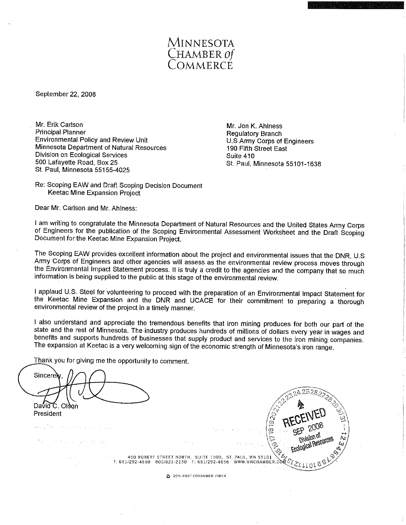

September 22, 2008

Mr. Erik Carlson **Principal Planner** Environmental Policy and Review Unit Minnesota Department of Natural Resources Division on Ecological Services 500 Lafayette Road, Box 25 St. Paul, Minnesota 55155-4025

Mr. Jon K. Ahlness **Regulatory Branch** U.S Army Corps of Engineers 190 Fifth Street East Suite 410 St. Paul, Minnesota 55101-1638

Re: Scoping EAW and Draft Scoping Decision Document Keetac Mine Expansion Project

Dear Mr. Carlson and Mr. Ahlness:

I am writing to congratulate the Minnesota Department of Natural Resources and the United States Army Corps of Engineers for the publication of the Scoping Environmental Assessment Worksheet and the Draft Scoping Document for the Keetac Mine Expansion Project.

The Scoping EAW provides excellent information about the project and environmental issues that the DNR, U.S. Army Corps of Engineers and other agencies will assess as the environmental review process moves through the Environmental Impact Statement process. It is truly a credit to the agencies and the company that so much information is being supplied to the public at this stage of the environmental review.

I applaud U.S. Steel for volunteering to proceed with the preparation of an Environmental Impact Statement for the Keetac Mine Expansion and the DNR and UCACE for their commitment to preparing a thorough environmental review of the project in a timely manner.

I also understand and appreciate the tremendous benefits that iron mining produces for both our part of the state and the rest of Minnesota. The industry produces hundreds of millions of dollars every year in wages and benefits and supports hundreds of businesses that supply product and services to the iron mining companies. The expansion at Keetac is a very welcoming sign of the economic strength of Minnesota's iron range.

Thank you for giving me the opportunity to comment.

Sincerely David C. Olson President is is si Division of Ecological Resource did no esta provincia c 400 ROBERT STREET NORTH, SUITE 1500, ST. PAUL, MN 55101 400 ROBERT STREET NORTH, SUITE 1500, ST. PAUL, MN 55101  $\sum_{i=1}^{N}$ March County of the 2 20% POST-CONSUMER FIBER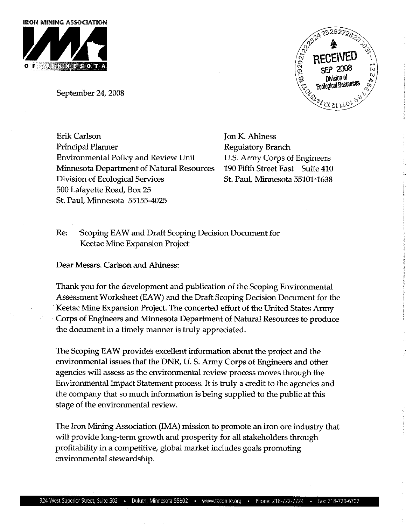

September 24, 2008



**Erik Carlson** Principal Planner **Environmental Policy and Review Unit** Minnesota Department of Natural Resources Division of Ecological Services 500 Lafayette Road, Box 25 St. Paul, Minnesota 55155-4025

Jon K. Ahlness Regulatory Branch U.S. Army Corps of Engineers 190 Fifth Street East Suite 410 St. Paul, Minnesota 55101-1638

Re: Scoping EAW and Draft Scoping Decision Document for Keetac Mine Expansion Project

Dear Messrs. Carlson and Ahlness:

Thank you for the development and publication of the Scoping Environmental Assessment Worksheet (EAW) and the Draft Scoping Decision Document for the Keetac Mine Expansion Project. The concerted effort of the United States Army Corps of Engineers and Minnesota Department of Natural Resources to produce the document in a timely manner is truly appreciated.

The Scoping EAW provides excellent information about the project and the environmental issues that the DNR, U.S. Army Corps of Engineers and other agencies will assess as the environmental review process moves through the Environmental Impact Statement process. It is truly a credit to the agencies and the company that so much information is being supplied to the public at this stage of the environmental review.

The Iron Mining Association (IMA) mission to promote an iron ore industry that will provide long-term growth and prosperity for all stakeholders through profitability in a competitive, global market includes goals promoting environmental stewardship.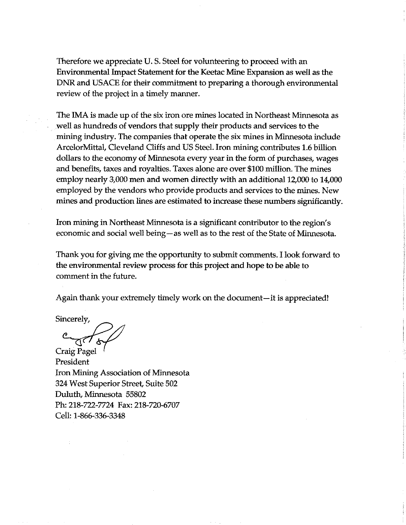Therefore we appreciate U.S. Steel for volunteering to proceed with an Environmental Impact Statement for the Keetac Mine Expansion as well as the DNR and USACE for their commitment to preparing a thorough environmental review of the project in a timely manner.

The IMA is made up of the six iron ore mines located in Northeast Minnesota as well as hundreds of vendors that supply their products and services to the mining industry. The companies that operate the six mines in Minnesota include ArcelorMittal, Cleveland Cliffs and US Steel. Iron mining contributes 1.6 billion dollars to the economy of Minnesota every year in the form of purchases, wages and benefits, taxes and royalties. Taxes alone are over \$100 million. The mines employ nearly 3,000 men and women directly with an additional 12,000 to 14,000 employed by the vendors who provide products and services to the mines. New mines and production lines are estimated to increase these numbers significantly.

Iron mining in Northeast Minnesota is a significant contributor to the region's economic and social well being—as well as to the rest of the State of Minnesota.

Thank you for giving me the opportunity to submit comments. I look forward to the environmental review process for this project and hope to be able to comment in the future.

Again thank your extremely timely work on the document—it is appreciated!

Sincerely,

Craig Pagel President Iron Mining Association of Minnesota 324 West Superior Street, Suite 502 Duluth, Minnesota 55802 Ph: 218-722-7724 Fax: 218-720-6707 Cell: 1-866-336-3348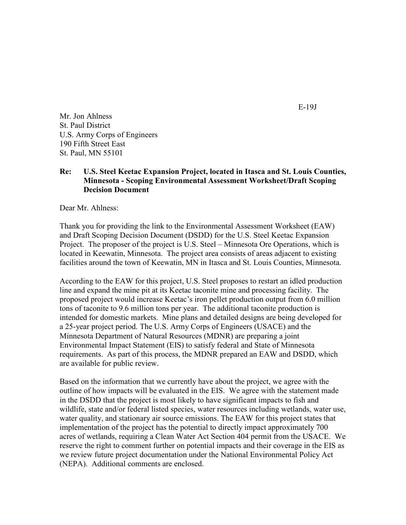Mr. Jon Ahlness St. Paul District U.S. Army Corps of Engineers 190 Fifth Street East St. Paul, MN 55101

#### Re: U.S. Steel Keetac Expansion Project, located in Itasca and St. Louis Counties, Minnesota - Scoping Environmental Assessment Worksheet/Draft Scoping Decision Document

Dear Mr. Ahlness:

Thank you for providing the link to the Environmental Assessment Worksheet (EAW) and Draft Scoping Decision Document (DSDD) for the U.S. Steel Keetac Expansion Project. The proposer of the project is U.S. Steel – Minnesota Ore Operations, which is located in Keewatin, Minnesota. The project area consists of areas adjacent to existing facilities around the town of Keewatin, MN in Itasca and St. Louis Counties, Minnesota.

According to the EAW for this project, U.S. Steel proposes to restart an idled production line and expand the mine pit at its Keetac taconite mine and processing facility. The proposed project would increase Keetac's iron pellet production output from 6.0 million tons of taconite to 9.6 million tons per year. The additional taconite production is intended for domestic markets. Mine plans and detailed designs are being developed for a 25-year project period. The U.S. Army Corps of Engineers (USACE) and the Minnesota Department of Natural Resources (MDNR) are preparing a joint Environmental Impact Statement (EIS) to satisfy federal and State of Minnesota requirements. As part of this process, the MDNR prepared an EAW and DSDD, which are available for public review.

Based on the information that we currently have about the project, we agree with the outline of how impacts will be evaluated in the EIS. We agree with the statement made in the DSDD that the project is most likely to have significant impacts to fish and wildlife, state and/or federal listed species, water resources including wetlands, water use, water quality, and stationary air source emissions. The EAW for this project states that implementation of the project has the potential to directly impact approximately 700 acres of wetlands, requiring a Clean Water Act Section 404 permit from the USACE. We reserve the right to comment further on potential impacts and their coverage in the EIS as we review future project documentation under the National Environmental Policy Act (NEPA). Additional comments are enclosed.

E-19J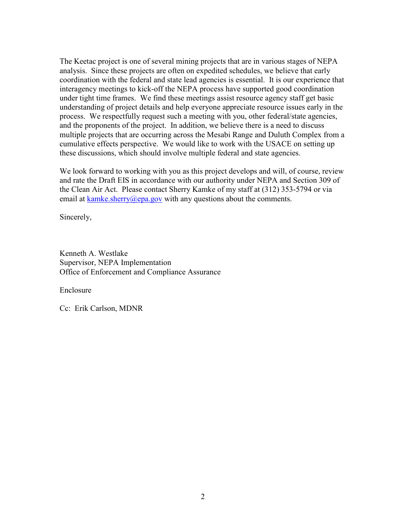The Keetac project is one of several mining projects that are in various stages of NEPA analysis. Since these projects are often on expedited schedules, we believe that early coordination with the federal and state lead agencies is essential. It is our experience that interagency meetings to kick-off the NEPA process have supported good coordination under tight time frames. We find these meetings assist resource agency staff get basic understanding of project details and help everyone appreciate resource issues early in the process. We respectfully request such a meeting with you, other federal/state agencies, and the proponents of the project. In addition, we believe there is a need to discuss multiple projects that are occurring across the Mesabi Range and Duluth Complex from a cumulative effects perspective. We would like to work with the USACE on setting up these discussions, which should involve multiple federal and state agencies.

We look forward to working with you as this project develops and will, of course, review and rate the Draft EIS in accordance with our authority under NEPA and Section 309 of the Clean Air Act. Please contact Sherry Kamke of my staff at (312) 353-5794 or via email at kamke.sherry@epa.gov with any questions about the comments.

Sincerely,

Kenneth A. Westlake Supervisor, NEPA Implementation Office of Enforcement and Compliance Assurance

Enclosure

Cc: Erik Carlson, MDNR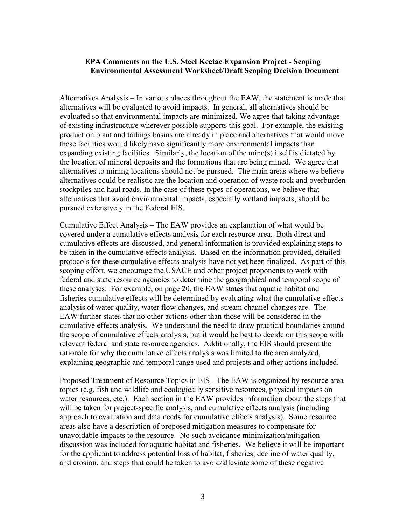#### EPA Comments on the U.S. Steel Keetac Expansion Project - Scoping Environmental Assessment Worksheet/Draft Scoping Decision Document

Alternatives Analysis – In various places throughout the EAW, the statement is made that alternatives will be evaluated to avoid impacts. In general, all alternatives should be evaluated so that environmental impacts are minimized. We agree that taking advantage of existing infrastructure wherever possible supports this goal. For example, the existing production plant and tailings basins are already in place and alternatives that would move these facilities would likely have significantly more environmental impacts than expanding existing facilities. Similarly, the location of the mine(s) itself is dictated by the location of mineral deposits and the formations that are being mined. We agree that alternatives to mining locations should not be pursued. The main areas where we believe alternatives could be realistic are the location and operation of waste rock and overburden stockpiles and haul roads. In the case of these types of operations, we believe that alternatives that avoid environmental impacts, especially wetland impacts, should be pursued extensively in the Federal EIS.

Cumulative Effect Analysis – The EAW provides an explanation of what would be covered under a cumulative effects analysis for each resource area. Both direct and cumulative effects are discussed, and general information is provided explaining steps to be taken in the cumulative effects analysis. Based on the information provided, detailed protocols for these cumulative effects analysis have not yet been finalized. As part of this scoping effort, we encourage the USACE and other project proponents to work with federal and state resource agencies to determine the geographical and temporal scope of these analyses. For example, on page 20, the EAW states that aquatic habitat and fisheries cumulative effects will be determined by evaluating what the cumulative effects analysis of water quality, water flow changes, and stream channel changes are. The EAW further states that no other actions other than those will be considered in the cumulative effects analysis. We understand the need to draw practical boundaries around the scope of cumulative effects analysis, but it would be best to decide on this scope with relevant federal and state resource agencies. Additionally, the EIS should present the rationale for why the cumulative effects analysis was limited to the area analyzed, explaining geographic and temporal range used and projects and other actions included.

Proposed Treatment of Resource Topics in EIS - The EAW is organized by resource area topics (e.g. fish and wildlife and ecologically sensitive resources, physical impacts on water resources, etc.). Each section in the EAW provides information about the steps that will be taken for project-specific analysis, and cumulative effects analysis (including approach to evaluation and data needs for cumulative effects analysis). Some resource areas also have a description of proposed mitigation measures to compensate for unavoidable impacts to the resource. No such avoidance minimization/mitigation discussion was included for aquatic habitat and fisheries. We believe it will be important for the applicant to address potential loss of habitat, fisheries, decline of water quality, and erosion, and steps that could be taken to avoid/alleviate some of these negative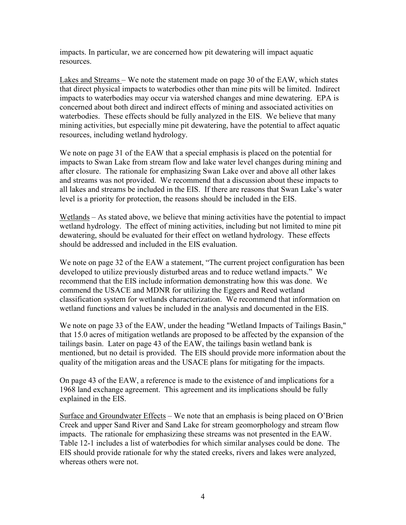impacts. In particular, we are concerned how pit dewatering will impact aquatic resources.

Lakes and Streams – We note the statement made on page 30 of the EAW, which states that direct physical impacts to waterbodies other than mine pits will be limited. Indirect impacts to waterbodies may occur via watershed changes and mine dewatering. EPA is concerned about both direct and indirect effects of mining and associated activities on waterbodies. These effects should be fully analyzed in the EIS. We believe that many mining activities, but especially mine pit dewatering, have the potential to affect aquatic resources, including wetland hydrology.

We note on page 31 of the EAW that a special emphasis is placed on the potential for impacts to Swan Lake from stream flow and lake water level changes during mining and after closure. The rationale for emphasizing Swan Lake over and above all other lakes and streams was not provided. We recommend that a discussion about these impacts to all lakes and streams be included in the EIS. If there are reasons that Swan Lake's water level is a priority for protection, the reasons should be included in the EIS.

Wetlands – As stated above, we believe that mining activities have the potential to impact wetland hydrology. The effect of mining activities, including but not limited to mine pit dewatering, should be evaluated for their effect on wetland hydrology. These effects should be addressed and included in the EIS evaluation.

We note on page 32 of the EAW a statement, "The current project configuration has been developed to utilize previously disturbed areas and to reduce wetland impacts." We recommend that the EIS include information demonstrating how this was done. We commend the USACE and MDNR for utilizing the Eggers and Reed wetland classification system for wetlands characterization. We recommend that information on wetland functions and values be included in the analysis and documented in the EIS.

We note on page 33 of the EAW, under the heading "Wetland Impacts of Tailings Basin," that 15.0 acres of mitigation wetlands are proposed to be affected by the expansion of the tailings basin. Later on page 43 of the EAW, the tailings basin wetland bank is mentioned, but no detail is provided. The EIS should provide more information about the quality of the mitigation areas and the USACE plans for mitigating for the impacts.

On page 43 of the EAW, a reference is made to the existence of and implications for a 1968 land exchange agreement. This agreement and its implications should be fully explained in the EIS.

Surface and Groundwater Effects – We note that an emphasis is being placed on O'Brien Creek and upper Sand River and Sand Lake for stream geomorphology and stream flow impacts. The rationale for emphasizing these streams was not presented in the EAW. Table 12-1 includes a list of waterbodies for which similar analyses could be done. The EIS should provide rationale for why the stated creeks, rivers and lakes were analyzed, whereas others were not.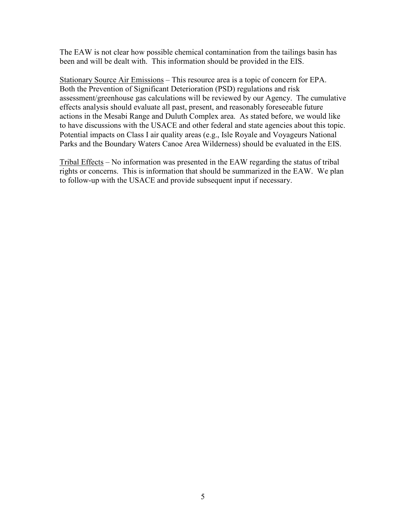The EAW is not clear how possible chemical contamination from the tailings basin has been and will be dealt with. This information should be provided in the EIS.

Stationary Source Air Emissions – This resource area is a topic of concern for EPA. Both the Prevention of Significant Deterioration (PSD) regulations and risk assessment/greenhouse gas calculations will be reviewed by our Agency. The cumulative effects analysis should evaluate all past, present, and reasonably foreseeable future actions in the Mesabi Range and Duluth Complex area. As stated before, we would like to have discussions with the USACE and other federal and state agencies about this topic. Potential impacts on Class I air quality areas (e.g., Isle Royale and Voyageurs National Parks and the Boundary Waters Canoe Area Wilderness) should be evaluated in the EIS.

Tribal Effects – No information was presented in the EAW regarding the status of tribal rights or concerns. This is information that should be summarized in the EAW. We plan to follow-up with the USACE and provide subsequent input if necessary.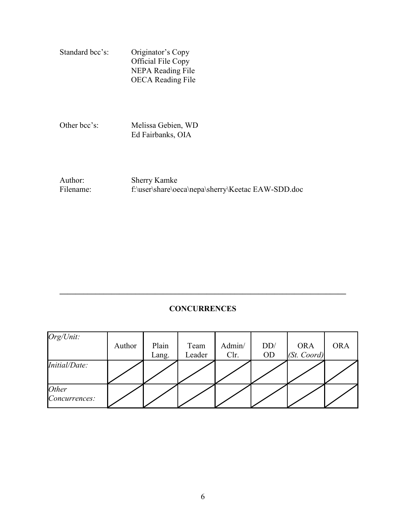| Standard bcc's: | Originator's Copy        |  |  |  |
|-----------------|--------------------------|--|--|--|
|                 | Official File Copy       |  |  |  |
|                 | <b>NEPA Reading File</b> |  |  |  |
|                 | <b>OECA</b> Reading File |  |  |  |

Other bcc's: Melissa Gebien, WD Ed Fairbanks, OIA

Author: Sherry Kamke<br>Filename: f:\user\share\oe f:\user\share\oeca\nepa\sherry\Keetac EAW-SDD.doc

## **CONCURRENCES**

 $\_$  , and the contribution of the contribution of the contribution of the contribution of  $\mathcal{L}_\mathbf{C}$ 

| Org/Unit:              | Author | Plain<br>Lang. | Team<br>Leader | Admin/<br>Clr. | DD/<br><b>OD</b> | <b>ORA</b><br>(St. Coord) | <b>ORA</b> |
|------------------------|--------|----------------|----------------|----------------|------------------|---------------------------|------------|
| Initial/Date:          |        |                |                |                |                  |                           |            |
| Other<br>Concurrences: |        |                |                |                |                  |                           |            |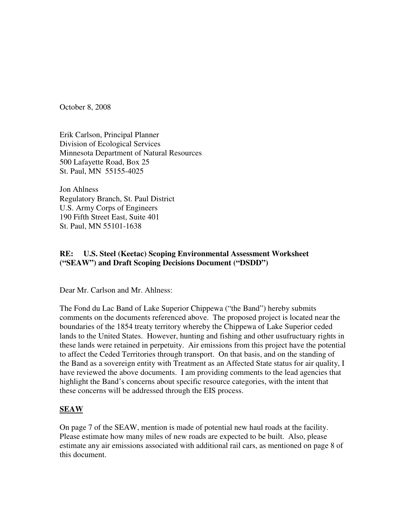October 8, 2008

Erik Carlson, Principal Planner Division of Ecological Services Minnesota Department of Natural Resources 500 Lafayette Road, Box 25 St. Paul, MN 55155-4025

Jon Ahlness Regulatory Branch, St. Paul District U.S. Army Corps of Engineers 190 Fifth Street East, Suite 401 St. Paul, MN 55101-1638

#### **RE: U.S. Steel (Keetac) Scoping Environmental Assessment Worksheet ("SEAW") and Draft Scoping Decisions Document ("DSDD")**

Dear Mr. Carlson and Mr. Ahlness:

The Fond du Lac Band of Lake Superior Chippewa ("the Band") hereby submits comments on the documents referenced above. The proposed project is located near the boundaries of the 1854 treaty territory whereby the Chippewa of Lake Superior ceded lands to the United States. However, hunting and fishing and other usufructuary rights in these lands were retained in perpetuity. Air emissions from this project have the potential to affect the Ceded Territories through transport. On that basis, and on the standing of the Band as a sovereign entity with Treatment as an Affected State status for air quality, I have reviewed the above documents. I am providing comments to the lead agencies that highlight the Band's concerns about specific resource categories, with the intent that these concerns will be addressed through the EIS process.

#### **SEAW**

On page 7 of the SEAW, mention is made of potential new haul roads at the facility. Please estimate how many miles of new roads are expected to be built. Also, please estimate any air emissions associated with additional rail cars, as mentioned on page 8 of this document.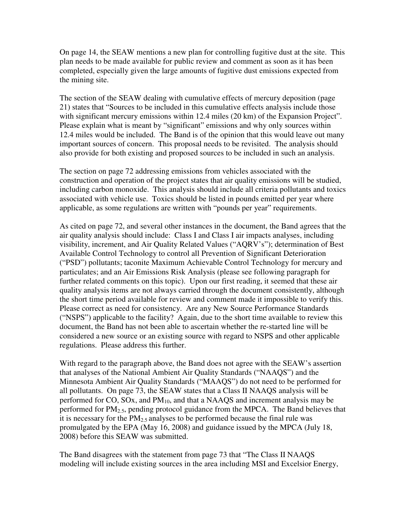On page 14, the SEAW mentions a new plan for controlling fugitive dust at the site. This plan needs to be made available for public review and comment as soon as it has been completed, especially given the large amounts of fugitive dust emissions expected from the mining site.

The section of the SEAW dealing with cumulative effects of mercury deposition (page 21) states that "Sources to be included in this cumulative effects analysis include those with significant mercury emissions within 12.4 miles (20 km) of the Expansion Project". Please explain what is meant by "significant" emissions and why only sources within 12.4 miles would be included. The Band is of the opinion that this would leave out many important sources of concern. This proposal needs to be revisited. The analysis should also provide for both existing and proposed sources to be included in such an analysis.

The section on page 72 addressing emissions from vehicles associated with the construction and operation of the project states that air quality emissions will be studied, including carbon monoxide. This analysis should include all criteria pollutants and toxics associated with vehicle use. Toxics should be listed in pounds emitted per year where applicable, as some regulations are written with "pounds per year" requirements.

As cited on page 72, and several other instances in the document, the Band agrees that the air quality analysis should include: Class I and Class I air impacts analyses, including visibility, increment, and Air Quality Related Values ("AQRV's"); determination of Best Available Control Technology to control all Prevention of Significant Deterioration ("PSD") pollutants; taconite Maximum Achievable Control Technology for mercury and particulates; and an Air Emissions Risk Analysis (please see following paragraph for further related comments on this topic). Upon our first reading, it seemed that these air quality analysis items are not always carried through the document consistently, although the short time period available for review and comment made it impossible to verify this. Please correct as need for consistency. Are any New Source Performance Standards ("NSPS") applicable to the facility? Again, due to the short time available to review this document, the Band has not been able to ascertain whether the re-started line will be considered a new source or an existing source with regard to NSPS and other applicable regulations. Please address this further.

With regard to the paragraph above, the Band does not agree with the SEAW's assertion that analyses of the National Ambient Air Quality Standards ("NAAQS") and the Minnesota Ambient Air Quality Standards ("MAAQS") do not need to be performed for all pollutants. On page 73, the SEAW states that a Class II NAAQS analysis will be performed for CO, SOx, and  $PM_{10}$ , and that a NAAQS and increment analysis may be performed for  $PM<sub>2.5</sub>$ , pending protocol guidance from the MPCA. The Band believes that it is necessary for the  $PM<sub>2.5</sub>$  analyses to be performed because the final rule was promulgated by the EPA (May 16, 2008) and guidance issued by the MPCA (July 18, 2008) before this SEAW was submitted.

The Band disagrees with the statement from page 73 that "The Class II NAAQS modeling will include existing sources in the area including MSI and Excelsior Energy,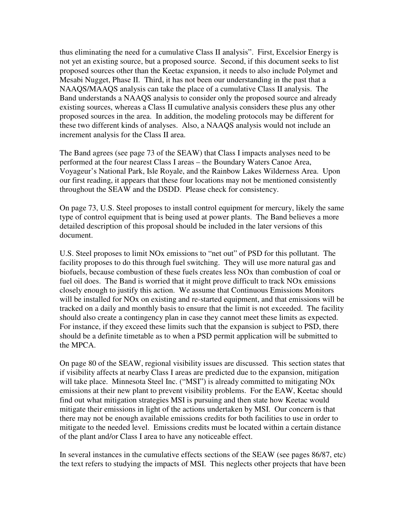thus eliminating the need for a cumulative Class II analysis". First, Excelsior Energy is not yet an existing source, but a proposed source. Second, if this document seeks to list proposed sources other than the Keetac expansion, it needs to also include Polymet and Mesabi Nugget, Phase II. Third, it has not been our understanding in the past that a NAAQS/MAAQS analysis can take the place of a cumulative Class II analysis. The Band understands a NAAQS analysis to consider only the proposed source and already existing sources, whereas a Class II cumulative analysis considers these plus any other proposed sources in the area. In addition, the modeling protocols may be different for these two different kinds of analyses. Also, a NAAQS analysis would not include an increment analysis for the Class II area.

The Band agrees (see page 73 of the SEAW) that Class I impacts analyses need to be performed at the four nearest Class I areas – the Boundary Waters Canoe Area, Voyageur's National Park, Isle Royale, and the Rainbow Lakes Wilderness Area. Upon our first reading, it appears that these four locations may not be mentioned consistently throughout the SEAW and the DSDD. Please check for consistency.

On page 73, U.S. Steel proposes to install control equipment for mercury, likely the same type of control equipment that is being used at power plants. The Band believes a more detailed description of this proposal should be included in the later versions of this document.

U.S. Steel proposes to limit NOx emissions to "net out" of PSD for this pollutant. The facility proposes to do this through fuel switching. They will use more natural gas and biofuels, because combustion of these fuels creates less NOx than combustion of coal or fuel oil does. The Band is worried that it might prove difficult to track NOx emissions closely enough to justify this action. We assume that Continuous Emissions Monitors will be installed for NO<sub>x</sub> on existing and re-started equipment, and that emissions will be tracked on a daily and monthly basis to ensure that the limit is not exceeded. The facility should also create a contingency plan in case they cannot meet these limits as expected. For instance, if they exceed these limits such that the expansion is subject to PSD, there should be a definite timetable as to when a PSD permit application will be submitted to the MPCA.

On page 80 of the SEAW, regional visibility issues are discussed. This section states that if visibility affects at nearby Class I areas are predicted due to the expansion, mitigation will take place. Minnesota Steel Inc. ("MSI") is already committed to mitigating NO<sub>x</sub> emissions at their new plant to prevent visibility problems. For the EAW, Keetac should find out what mitigation strategies MSI is pursuing and then state how Keetac would mitigate their emissions in light of the actions undertaken by MSI. Our concern is that there may not be enough available emissions credits for both facilities to use in order to mitigate to the needed level. Emissions credits must be located within a certain distance of the plant and/or Class I area to have any noticeable effect.

In several instances in the cumulative effects sections of the SEAW (see pages 86/87, etc) the text refers to studying the impacts of MSI. This neglects other projects that have been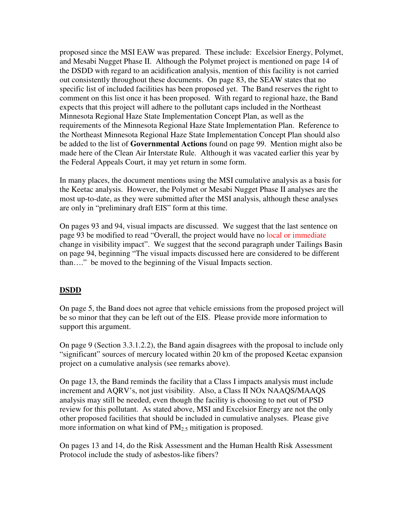proposed since the MSI EAW was prepared. These include: Excelsior Energy, Polymet, and Mesabi Nugget Phase II. Although the Polymet project is mentioned on page 14 of the DSDD with regard to an acidification analysis, mention of this facility is not carried out consistently throughout these documents. On page 83, the SEAW states that no specific list of included facilities has been proposed yet. The Band reserves the right to comment on this list once it has been proposed. With regard to regional haze, the Band expects that this project will adhere to the pollutant caps included in the Northeast Minnesota Regional Haze State Implementation Concept Plan, as well as the requirements of the Minnesota Regional Haze State Implementation Plan. Reference to the Northeast Minnesota Regional Haze State Implementation Concept Plan should also be added to the list of **Governmental Actions** found on page 99. Mention might also be made here of the Clean Air Interstate Rule. Although it was vacated earlier this year by the Federal Appeals Court, it may yet return in some form.

In many places, the document mentions using the MSI cumulative analysis as a basis for the Keetac analysis. However, the Polymet or Mesabi Nugget Phase II analyses are the most up-to-date, as they were submitted after the MSI analysis, although these analyses are only in "preliminary draft EIS" form at this time.

On pages 93 and 94, visual impacts are discussed. We suggest that the last sentence on page 93 be modified to read "Overall, the project would have no local or immediate change in visibility impact". We suggest that the second paragraph under Tailings Basin on page 94, beginning "The visual impacts discussed here are considered to be different than…." be moved to the beginning of the Visual Impacts section.

### **DSDD**

On page 5, the Band does not agree that vehicle emissions from the proposed project will be so minor that they can be left out of the EIS. Please provide more information to support this argument.

On page 9 (Section 3.3.1.2.2), the Band again disagrees with the proposal to include only "significant" sources of mercury located within 20 km of the proposed Keetac expansion project on a cumulative analysis (see remarks above).

On page 13, the Band reminds the facility that a Class I impacts analysis must include increment and AQRV's, not just visibility. Also, a Class II NOx NAAQS/MAAQS analysis may still be needed, even though the facility is choosing to net out of PSD review for this pollutant. As stated above, MSI and Excelsior Energy are not the only other proposed facilities that should be included in cumulative analyses. Please give more information on what kind of  $PM<sub>2.5</sub>$  mitigation is proposed.

On pages 13 and 14, do the Risk Assessment and the Human Health Risk Assessment Protocol include the study of asbestos-like fibers?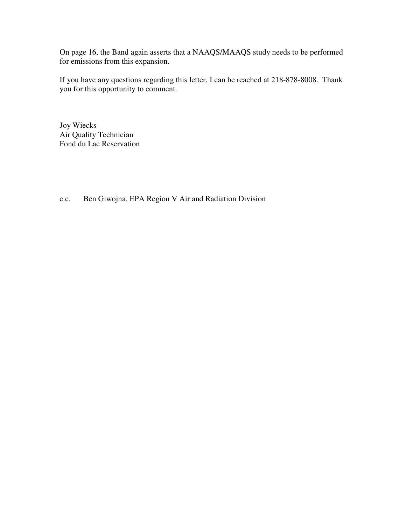On page 16, the Band again asserts that a NAAQS/MAAQS study needs to be performed for emissions from this expansion.

If you have any questions regarding this letter, I can be reached at 218-878-8008. Thank you for this opportunity to comment.

Joy Wiecks Air Quality Technician Fond du Lac Reservation

c.c. Ben Giwojna, EPA Region V Air and Radiation Division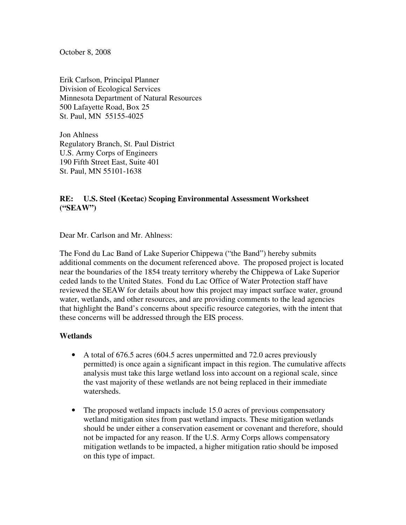October 8, 2008

Erik Carlson, Principal Planner Division of Ecological Services Minnesota Department of Natural Resources 500 Lafayette Road, Box 25 St. Paul, MN 55155-4025

Jon Ahlness Regulatory Branch, St. Paul District U.S. Army Corps of Engineers 190 Fifth Street East, Suite 401 St. Paul, MN 55101-1638

## **RE: U.S. Steel (Keetac) Scoping Environmental Assessment Worksheet ("SEAW")**

Dear Mr. Carlson and Mr. Ahlness:

The Fond du Lac Band of Lake Superior Chippewa ("the Band") hereby submits additional comments on the document referenced above. The proposed project is located near the boundaries of the 1854 treaty territory whereby the Chippewa of Lake Superior ceded lands to the United States. Fond du Lac Office of Water Protection staff have reviewed the SEAW for details about how this project may impact surface water, ground water, wetlands, and other resources, and are providing comments to the lead agencies that highlight the Band's concerns about specific resource categories, with the intent that these concerns will be addressed through the EIS process.

#### **Wetlands**

- A total of 676.5 acres (604.5 acres unpermitted and 72.0 acres previously permitted) is once again a significant impact in this region. The cumulative affects analysis must take this large wetland loss into account on a regional scale, since the vast majority of these wetlands are not being replaced in their immediate watersheds.
- The proposed wetland impacts include 15.0 acres of previous compensatory wetland mitigation sites from past wetland impacts. These mitigation wetlands should be under either a conservation easement or covenant and therefore, should not be impacted for any reason. If the U.S. Army Corps allows compensatory mitigation wetlands to be impacted, a higher mitigation ratio should be imposed on this type of impact.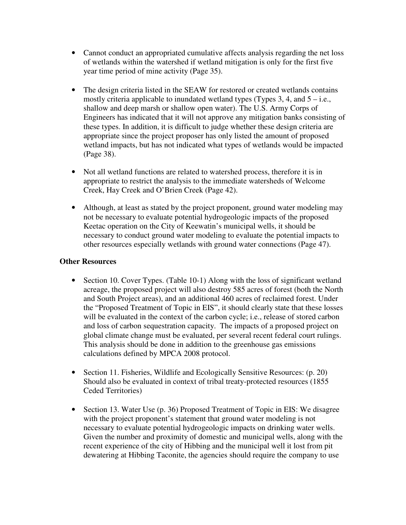- Cannot conduct an appropriated cumulative affects analysis regarding the net loss of wetlands within the watershed if wetland mitigation is only for the first five year time period of mine activity (Page 35).
- The design criteria listed in the SEAW for restored or created wetlands contains mostly criteria applicable to inundated wetland types  $(T$ ypes  $3, 4$ , and  $5 - i.e.,$ shallow and deep marsh or shallow open water). The U.S. Army Corps of Engineers has indicated that it will not approve any mitigation banks consisting of these types. In addition, it is difficult to judge whether these design criteria are appropriate since the project proposer has only listed the amount of proposed wetland impacts, but has not indicated what types of wetlands would be impacted (Page 38).
- Not all wetland functions are related to watershed process, therefore it is in appropriate to restrict the analysis to the immediate watersheds of Welcome Creek, Hay Creek and O'Brien Creek (Page 42).
- Although, at least as stated by the project proponent, ground water modeling may not be necessary to evaluate potential hydrogeologic impacts of the proposed Keetac operation on the City of Keewatin's municipal wells, it should be necessary to conduct ground water modeling to evaluate the potential impacts to other resources especially wetlands with ground water connections (Page 47).

## **Other Resources**

- Section 10. Cover Types. (Table 10-1) Along with the loss of significant wetland acreage, the proposed project will also destroy 585 acres of forest (both the North and South Project areas), and an additional 460 acres of reclaimed forest. Under the "Proposed Treatment of Topic in EIS", it should clearly state that these losses will be evaluated in the context of the carbon cycle; i.e., release of stored carbon and loss of carbon sequestration capacity. The impacts of a proposed project on global climate change must be evaluated, per several recent federal court rulings. This analysis should be done in addition to the greenhouse gas emissions calculations defined by MPCA 2008 protocol.
- Section 11. Fisheries, Wildlife and Ecologically Sensitive Resources: (p. 20) Should also be evaluated in context of tribal treaty-protected resources (1855 Ceded Territories)
- Section 13. Water Use (p. 36) Proposed Treatment of Topic in EIS: We disagree with the project proponent's statement that ground water modeling is not necessary to evaluate potential hydrogeologic impacts on drinking water wells. Given the number and proximity of domestic and municipal wells, along with the recent experience of the city of Hibbing and the municipal well it lost from pit dewatering at Hibbing Taconite, the agencies should require the company to use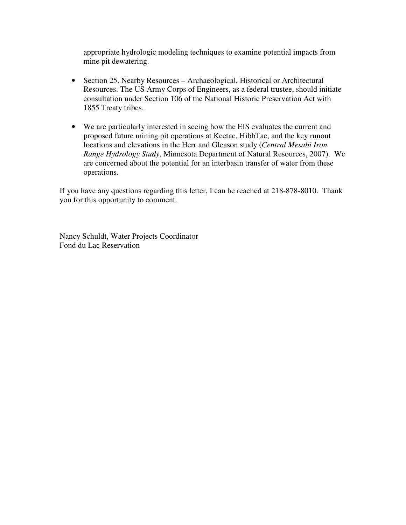appropriate hydrologic modeling techniques to examine potential impacts from mine pit dewatering.

- Section 25. Nearby Resources Archaeological, Historical or Architectural Resources. The US Army Corps of Engineers, as a federal trustee, should initiate consultation under Section 106 of the National Historic Preservation Act with 1855 Treaty tribes.
- We are particularly interested in seeing how the EIS evaluates the current and proposed future mining pit operations at Keetac, HibbTac, and the key runout locations and elevations in the Herr and Gleason study (*Central Mesabi Iron Range Hydrology Study*, Minnesota Department of Natural Resources, 2007). We are concerned about the potential for an interbasin transfer of water from these operations.

If you have any questions regarding this letter, I can be reached at 218-878-8010. Thank you for this opportunity to comment.

Nancy Schuldt, Water Projects Coordinator Fond du Lac Reservation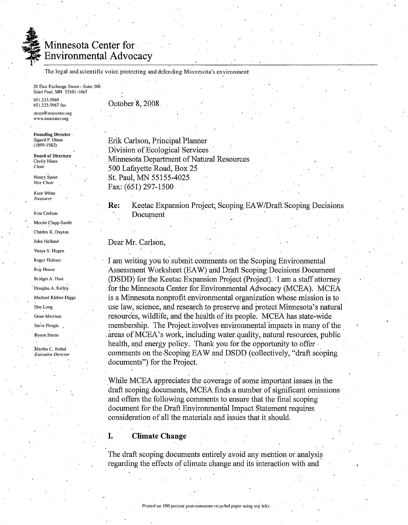

## **Minnesota Center for Environmental Advocacy**

The legal and scientific voice protecting and defending Minnesota's environment

26 East Exchange Street - Suite 206 Saint Paul, MN 55101-1667 651.223.5969 651.223.5967 fax

mcea@mncenter.org www.mncenter.org

**Founding Director** Sigurd F. Olson  $(1899 - 1982)$ 

**Board of Directors Cecily Hines** Chau

Nancy Speer Vice Chair

Kent White **Treasurer** 

Kim Carlson

Merritt Clapp-Smith

Charles K. Dayton

John Helland

Vanya S. Hogen Roger Holmes

Roy House

**Bridget A. Hust** 

Douglas A. Kelley

Michael Kleber-Diggs

Dee Long

Gene Merriam Steve Piragis

**Byron Starns** 

Martha C. Brand

**Executive Director** 

October 8, 2008

Erik Carlson, Principal Planner Division of Ecological Services Minnesota Department of Natural Resources 500 Lafayette Road, Box 25 St. Paul, MN 55155-4025 Fax:  $(651)$  297-1500.

Keetac Expansion Project: Scoping EAW/Draft Scoping Decisions Re: Document

#### Dear Mr. Carlson,

I am writing you to submit comments on the Scoping Environmental Assessment Worksheet (EAW) and Draft Scoping Decisions Document (DSDD) for the Keetac Expansion Project (Project). I am a staff attorney for the Minnesota Center for Environmental Advocacy (MCEA). MCEA is a Minnesota nonprofit environmental organization whose mission is to use law, science, and research to preserve and protect Minnesota's natural resources, wildlife, and the health of its people. MCEA has state-wide membership. The Project involves environmental impacts in many of the areas of MCEA's work, including water quality, natural resources, public health, and energy policy. Thank you for the opportunity to offer comments on the Scoping EAW and DSDD (collectively, "draft scoping documents") for the Project.

While MCEA appreciates the coverage of some important issues in the draft scoping documents, MCEA finds a number of significant omissions and offers the following comments to ensure that the final scoping document for the Draft Environmental Impact Statement requires consideration of all the materials and issues that it should.

#### **Climate Change**

I.

The draft scoping documents entirely avoid any mention or analysis regarding the effects of climate change and its interaction with and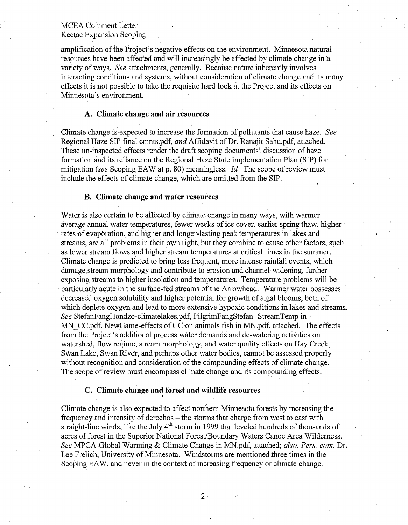amplification of the Project's negative effects on the environment. Minnesota natural resources have been affected and will increasingly be affected by climate change in a variety of ways. See attachments, generally. Because nature inherently involves interacting conditions and systems, without consideration of climate change and its many effects it is not possible to take the requisite hard look at the Project and its effects on Minnesota's environment.

#### A. Climate change and air resources

Climate change is expected to increase the formation of pollutants that cause haze. See Regional Haze SIP final cmnts.pdf, and Affidavit of Dr. Ranaiit Sahu.pdf, attached. These un-inspected effects render the draft scoping documents' discussion of haze formation and its reliance on the Regional Haze State Implementation Plan (SIP) for mitigation (see Scoping EAW at p. 80) meaningless. *Id.* The scope of review must include the effects of climate change, which are omitted from the SIP.

#### **B.** Climate change and water resources

Water is also certain to be affected by climate change in many ways, with warmer average annual water temperatures, fewer weeks of ice cover, earlier spring thaw, higher rates of evaporation, and higher and longer-lasting peak temperatures in lakes and streams, are all problems in their own right, but they combine to cause other factors, such as lower stream flows and higher stream temperatures at critical times in the summer. Climate change is predicted to bring less frequent, more intense rainfall events, which damage stream morphology and contribute to erosion and channel-widening, further exposing streams to higher insolation and temperatures. Temperature problems will be particularly acute in the surface-fed streams of the Arrowhead. Warmer water possesses decreased oxygen solubility and higher potential for growth of algal blooms, both of which deplete oxygen and lead to more extensive hypoxic conditions in lakes and streams. See StefanFangHondzo-climatelakes.pdf, PilgrimFangStefan-StreamTemp in MN CC.pdf, NewGame-effects of CC on animals fish in MN.pdf, attached. The effects from the Project's additional process water demands and de-watering activities on watershed, flow regime, stream morphology, and water quality effects on Hay Creek, Swan Lake, Swan River, and perhaps other water bodies, cannot be assessed properly without recognition and consideration of the compounding effects of climate change. The scope of review must encompass climate change and its compounding effects.

#### C. Climate change and forest and wildlife resources

Climate change is also expected to affect northern Minnesota forests by increasing the frequency and intensity of derechos – the storms that charge from west to east with straight-line winds, like the July  $4<sup>th</sup>$  storm in 1999 that leveled hundreds of thousands of acres of forest in the Superior National Forest/Boundary Waters Canoe Area Wilderness. See MPCA-Global Warming & Climate Change in MN.pdf, attached; also, Pers. com. Dr. Lee Frelich, University of Minnesota. Windstorms are mentioned three times in the Scoping EAW, and never in the context of increasing frequency or climate change.

 $2<sup>1</sup>$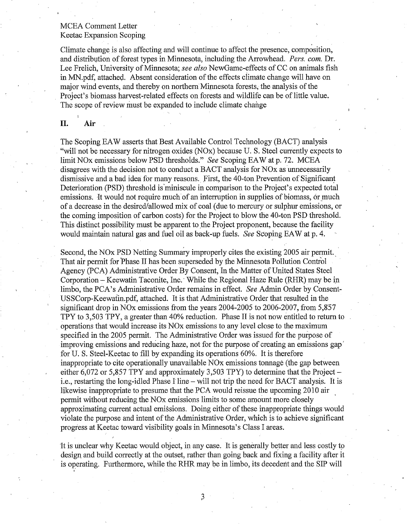Climate change is also affecting and will continue to affect the presence, composition, and distribution of forest types in Minnesota, including the Arrowhead. Pers. com. Dr. Lee Frelich, University of Minnesota; see also NewGame-effects of CC on animals fish in MN.pdf, attached. Absent consideration of the effects climate change will have on major wind events, and thereby on northern Minnesota forests, the analysis of the Project's biomass harvest-related effects on forests and wildlife can be of little value. The scope of review must be expanded to include climate change

#### Π. Air

The Scoping EAW asserts that Best Available Control Technology (BACT) analysis "will not be necessary for nitrogen oxides (NOx) because U.S. Steel currently expects to limit NO<sub>x</sub> emissions below PSD thresholds." See Scoping EAW at p. 72. MCEA disagrees with the decision not to conduct a BACT analysis for NO<sub>x</sub> as unnecessarily dismissive and a bad idea for many reasons. First, the 40-ton Prevention of Significant Deterioration (PSD) threshold is miniscule in comparison to the Project's expected total emissions. It would not require much of an interruption in supplies of biomass, or much of a decrease in the desired/allowed mix of coal (due to mercury or sulphur emissions, or the coming imposition of carbon costs) for the Project to blow the 40-ton PSD threshold. This distinct possibility must be apparent to the Project proponent, because the facility would maintain natural gas and fuel oil as back-up fuels. See Scoping EAW at p. 4.

Second, the NO<sub>x</sub> PSD Netting Summary improperly cites the existing 2005 air permit. That air permit for Phase II has been superseded by the Minnesota Pollution Control Agency (PCA) Administrative Order By Consent, In the Matter of United States Steel Corporation – Keewatin Taconite, Inc. While the Regional Haze Rule (RHR) may be in limbo, the PCA's Administrative Order remains in effect. See Admin Order by Consent-USSCorp-Keewatin.pdf, attached. It is that Administrative Order that resulted in the significant drop in NO<sub>x</sub> emissions from the years 2004-2005 to 2006-2007, from 5,857 TPY to 3,503 TPY, a greater than 40% reduction. Phase II is not now entitled to return to operations that would increase its NO<sub>x</sub> emissions to any level close to the maximum specified in the 2005 permit. The Administrative Order was issued for the purpose of improving emissions and reducing haze, not for the purpose of creating an emissions gap for U.S. Steel-Keetac to fill by expanding its operations 60%. It is therefore inappropriate to cite operationally unavailable NO<sub>x</sub> emissions tonnage (the gap between either 6,072 or 5,857 TPY and approximately 3,503 TPY) to determine that the Project  $$ i.e., restarting the long-idled Phase I line – will not trip the need for BACT analysis. It is likewise inappropriate to presume that the PCA would reissue the upcoming 2010 air permit without reducing the NO<sub>x</sub> emissions limits to some amount more closely approximating current actual emissions. Doing either of these inappropriate things would violate the purpose and intent of the Administrative Order, which is to achieve significant progress at Keetac toward visibility goals in Minnesota's Class I areas.

It is unclear why Keetac would object, in any case. It is generally better and less costly to design and build correctly at the outset, rather than going back and fixing a facility after it is operating. Furthermore, while the RHR may be in limbo, its decedent and the SIP will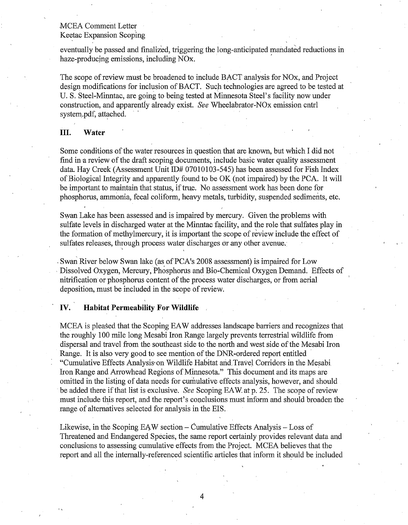eventually be passed and finalized, triggering the long-anticipated mandated reductions in haze-producing emissions, including NO<sub>x</sub>.

The scope of review must be broadened to include BACT analysis for NO<sub>x</sub>, and Project design modifications for inclusion of BACT. Such technologies are agreed to be tested at U. S. Steel-Minntac, are going to being tested at Minnesota Steel's facility now under construction, and apparently already exist. See Wheelabrator-NO<sub>x</sub> emission cntrl system.pdf, attached.

#### Ш. Water

Some conditions of the water resources in question that are known, but which I did not find in a review of the draft scoping documents, include basic water quality assessment data. Hay Creek (Assessment Unit ID# 07010103-545) has been assessed for Fish Index of Biological Integrity and apparently found to be OK (not impaired) by the PCA. It will be important to maintain that status, if true. No assessment work has been done for phosphorus, ammonia, fecal coliform, heavy metals, turbidity, suspended sediments, etc.

Swan Lake has been assessed and is impaired by mercury. Given the problems with sulfate levels in discharged water at the Minntac facility, and the role that sulfates play in the formation of methylmercury, it is important the scope of review include the effect of sulfates releases, through process water discharges or any other avenue.

Swan River below Swan lake (as of PCA's 2008 assessment) is impaired for Low Dissolved Oxygen, Mercury, Phosphorus and Bio-Chemical Oxygen Demand. Effects of nitrification or phosphorus content of the process water discharges, or from aerial deposition, must be included in the scope of review.

#### IV. **Habitat Permeability For Wildlife**

MCEA is pleased that the Scoping EAW addresses landscape barriers and recognizes that the roughly 100 mile long Mesabi Iron Range largely prevents terrestrial wildlife from dispersal and travel from the southeast side to the north and west side of the Mesabi Iron Range. It is also very good to see mention of the DNR-ordered report entitled "Cumulative Effects Analysis on Wildlife Habitat and Travel Corridors in the Mesabi Iron Range and Arrowhead Regions of Minnesota." This document and its maps are omitted in the listing of data needs for cumulative effects analysis, however, and should be added there if that list is exclusive. See Scoping EAW at p. 25. The scope of review must include this report, and the report's conclusions must inform and should broaden the range of alternatives selected for analysis in the EIS.

Likewise, in the Scoping EAW section – Cumulative Effects Analysis – Loss of Threatened and Endangered Species, the same report certainly provides relevant data and conclusions to assessing cumulative effects from the Project. MCEA believes that the report and all the internally-referenced scientific articles that inform it should be included

4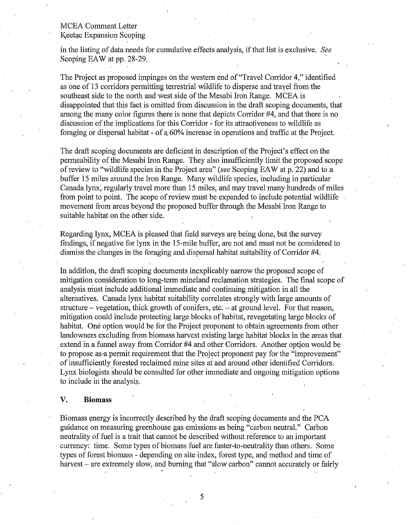in the listing of data needs for cumulative effects analysis, if that list is exclusive. See Scoping EAW at pp. 28-29.

The Project as proposed impinges on the western end of "Travel Corridor 4," identified as one of 13 corridors permitting terrestrial wildlife to disperse and travel from the southeast side to the north and west side of the Mesabi Iron Range. MCEA is disappointed that this fact is omitted from discussion in the draft scoping documents, that among the many color figures there is none that depicts Corridor #4, and that there is no discussion of the implications for this Corridor - for its attractiveness to wildlife as foraging or dispersal habitat - of a 60% increase in operations and traffic at the Project.

The draft scoping documents are deficient in description of the Project's effect on the permeability of the Mesabi Iron Range. They also insufficiently limit the proposed scope of review to "wildlife species in the Project area" (see Scoping EAW at p. 22) and to a buffer 15 miles around the Iron Range. Many wildlife species, including in particular Canada lynx, regularly travel more than 15 miles, and may travel many hundreds of miles from point to point. The scope of review must be expanded to include potential wildlife movement from areas bevond the proposed buffer through the Mesabi Iron Range to suitable habitat on the other side.

Regarding lynx, MCEA is pleased that field surveys are being done, but the survey findings, if negative for lynx in the 15-mile buffer, are not and must not be considered to dismiss the changes in the foraging and dispersal habitat suitability of Corridor #4.

In addition, the draft scoping documents inexplicably narrow the proposed scope of mitigation consideration to long-term mineland reclamation strategies. The final scope of analysis must include additional immediate and continuing mitigation in all the alternatives. Canada lynx habitat suitability correlates strongly with large amounts of structure – vegetation, thick growth of conifers, etc. – at ground level. For that reason, mitigation could include protecting large blocks of habitat, revegetating large blocks of habitat. One option would be for the Project proponent to obtain agreements from other landowners excluding from biomass harvest existing large habitat blocks in the areas that extend in a funnel away from Corridor #4 and other Corridors. Another option would be to propose as a permit requirement that the Project proponent pay for the "improvement" of insufficiently forested reclaimed mine sites at and around other identified Corridors. Lynx biologists should be consulted for other immediate and ongoing mitigation options to include in the analysis.

#### V. **Biomass**

Biomass energy is incorrectly described by the draft scoping documents and the PCA guidance on measuring greenhouse gas emissions as being "carbon neutral." Carbon neutrality of fuel is a trait that cannot be described without reference to an important currency: time. Some types of biomass fuel are faster-to-neutrality than others. Some types of forest biomass - depending on site index, forest type, and method and time of harvest – are extremely slow, and burning that "slow carbon" cannot accurately or fairly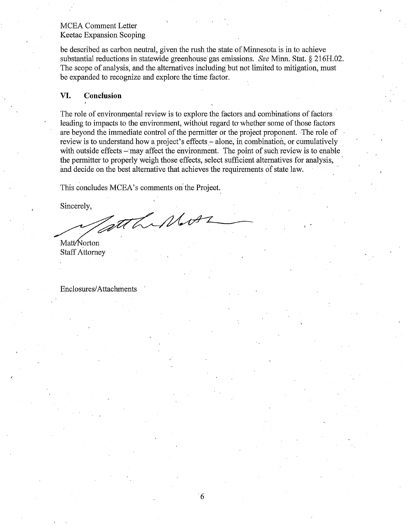be described as carbon neutral, given the rush the state of Minnesota is in to achieve substantial reductions in statewide greenhouse gas emissions. See Minn. Stat. § 216H.02. The scope of analysis, and the alternatives including but not limited to mitigation, must be expanded to recognize and explore the time factor.

#### VI. Conclusion

The role of environmental review is to explore the factors and combinations of factors leading to impacts to the environment, without regard to whether some of those factors are beyond the immediate control of the permitter or the project proponent. The role of review is to understand how a project's effects – alone, in combination, or cumulatively with outside effects - may affect the environment. The point of such review is to enable the permitter to properly weigh those effects, select sufficient alternatives for analysis, and decide on the best alternative that achieves the requirements of state law.

This concludes MCEA's comments on the Project.

Sincerely.

LiMore Matt/Norton

**Staff Attorney** 

**Enclosures/Attachments**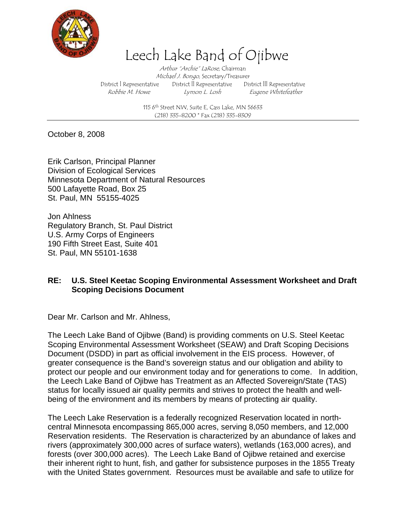

# Leech Lake Band of Ojibwe

Arthur "Archie" LaRose, Chairman Michael J. Bongo, Secretary/Treasurer District l Representative District ll Representative District lll Representative Robbie M. Howe Lymon L. Losh Eugene Whitefeather

> 115  $6<sup>th</sup>$  Street NW, Suite E, Cass Lake, MN 56633 (218) 335-8200 \* Fax (218) 335-8309

October 8, 2008

Erik Carlson, Principal Planner Division of Ecological Services Minnesota Department of Natural Resources 500 Lafayette Road, Box 25 St. Paul, MN 55155-4025

Jon Ahlness Regulatory Branch, St. Paul District U.S. Army Corps of Engineers 190 Fifth Street East, Suite 401 St. Paul, MN 55101-1638

### **RE: U.S. Steel Keetac Scoping Environmental Assessment Worksheet and Draft Scoping Decisions Document**

Dear Mr. Carlson and Mr. Ahlness,

The Leech Lake Band of Ojibwe (Band) is providing comments on U.S. Steel Keetac Scoping Environmental Assessment Worksheet (SEAW) and Draft Scoping Decisions Document (DSDD) in part as official involvement in the EIS process. However, of greater consequence is the Band's sovereign status and our obligation and ability to protect our people and our environment today and for generations to come. In addition, the Leech Lake Band of Ojibwe has Treatment as an Affected Sovereign/State (TAS) status for locally issued air quality permits and strives to protect the health and wellbeing of the environment and its members by means of protecting air quality.

The Leech Lake Reservation is a federally recognized Reservation located in northcentral Minnesota encompassing 865,000 acres, serving 8,050 members, and 12,000 Reservation residents. The Reservation is characterized by an abundance of lakes and rivers (approximately 300,000 acres of surface waters), wetlands (163,000 acres), and forests (over 300,000 acres). The Leech Lake Band of Ojibwe retained and exercise their inherent right to hunt, fish, and gather for subsistence purposes in the 1855 Treaty with the United States government. Resources must be available and safe to utilize for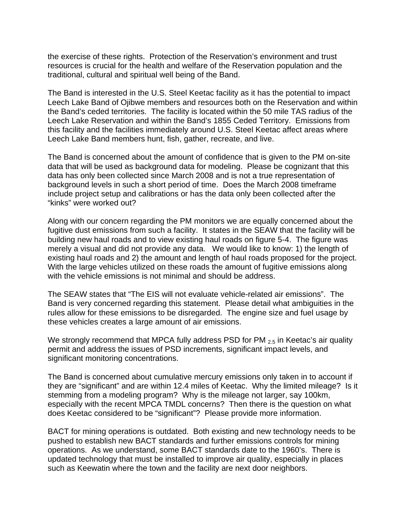the exercise of these rights. Protection of the Reservation's environment and trust resources is crucial for the health and welfare of the Reservation population and the traditional, cultural and spiritual well being of the Band.

The Band is interested in the U.S. Steel Keetac facility as it has the potential to impact Leech Lake Band of Ojibwe members and resources both on the Reservation and within the Band's ceded territories. The facility is located within the 50 mile TAS radius of the Leech Lake Reservation and within the Band's 1855 Ceded Territory. Emissions from this facility and the facilities immediately around U.S. Steel Keetac affect areas where Leech Lake Band members hunt, fish, gather, recreate, and live.

The Band is concerned about the amount of confidence that is given to the PM on-site data that will be used as background data for modeling. Please be cognizant that this data has only been collected since March 2008 and is not a true representation of background levels in such a short period of time. Does the March 2008 timeframe include project setup and calibrations or has the data only been collected after the "kinks" were worked out?

Along with our concern regarding the PM monitors we are equally concerned about the fugitive dust emissions from such a facility. It states in the SEAW that the facility will be building new haul roads and to view existing haul roads on figure 5-4. The figure was merely a visual and did not provide any data. We would like to know: 1) the length of existing haul roads and 2) the amount and length of haul roads proposed for the project. With the large vehicles utilized on these roads the amount of fugitive emissions along with the vehicle emissions is not minimal and should be address.

The SEAW states that "The EIS will not evaluate vehicle-related air emissions". The Band is very concerned regarding this statement. Please detail what ambiguities in the rules allow for these emissions to be disregarded. The engine size and fuel usage by these vehicles creates a large amount of air emissions.

We strongly recommend that MPCA fully address PSD for PM <sub>2.5</sub> in Keetac's air quality permit and address the issues of PSD increments, significant impact levels, and significant monitoring concentrations.

The Band is concerned about cumulative mercury emissions only taken in to account if they are "significant" and are within 12.4 miles of Keetac. Why the limited mileage? Is it stemming from a modeling program? Why is the mileage not larger, say 100km, especially with the recent MPCA TMDL concerns? Then there is the question on what does Keetac considered to be "significant"? Please provide more information.

BACT for mining operations is outdated. Both existing and new technology needs to be pushed to establish new BACT standards and further emissions controls for mining operations. As we understand, some BACT standards date to the 1960's. There is updated technology that must be installed to improve air quality, especially in places such as Keewatin where the town and the facility are next door neighbors.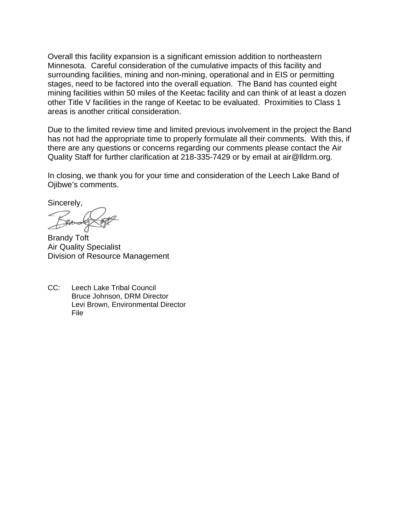Overall this facility expansion is a significant emission addition to northeastern Minnesota. Careful consideration of the cumulative impacts of this facility and surrounding facilities, mining and non-mining, operational and in EIS or permitting stages, need to be factored into the overall equation. The Band has counted eight mining facilities within 50 miles of the Keetac facility and can think of at least a dozen other Title V facilities in the range of Keetac to be evaluated. Proximities to Class 1 areas is another critical consideration.

Due to the limited review time and limited previous involvement in the project the Band has not had the appropriate time to properly formulate all their comments. With this, if there are any questions or concerns regarding our comments please contact the Air Quality Staff for further clarification at 218-335-7429 or by email at air@lldrm.org.

In closing, we thank you for your time and consideration of the Leech Lake Band of Ojibwe's comments.

Sincerely,

Brandy Toft Air Quality Specialist Division of Resource Management

CC: Leech Lake Tribal Council Bruce Johnson, DRM Director Levi Brown, Environmental Director File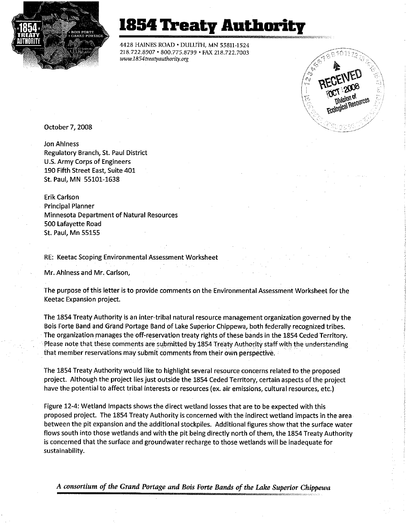

# 1854 Treaty Authority

4428 HAINES ROAD . DULUTH, MN 55811-1524 218.722.8907 · 800.775.8799 · FAX 218.722.7003 www.1854treatyauthority.org



October 7, 2008

**Jon Ahlness** Regulatory Branch, St. Paul District U.S. Army Corps of Engineers 190 Fifth Street East, Suite 401 St. Paul, MN 55101-1638

Erik Carlson **Principal Planner** Minnesota Department of Natural Resources 500 Lafayette Road **St. Paul. Mn 55155** 

RE: Keetac Scoping Environmental Assessment Worksheet

Mr. Ahlness and Mr. Carlson,

The purpose of this letter is to provide comments on the Environmental Assessment Worksheet for the Keetac Expansion project.

The 1854 Treaty Authority is an inter-tribal natural resource management organization governed by the Bois Forte Band and Grand Portage Band of Lake Superior Chippewa, both federally recognized tribes. The organization manages the off-reservation treaty rights of these bands in the 1854 Ceded Territory. Please note that these comments are submitted by 1854 Treaty Authority staff with the understanding that member reservations may submit comments from their own perspective.

The 1854 Treaty Authority would like to highlight several resource concerns related to the proposed project. Although the project lies just outside the 1854 Ceded Territory, certain aspects of the project have the potential to affect tribal interests or resources (ex. air emissions, cultural resources, etc.)

Figure 12-4: Wetland Impacts shows the direct wetland losses that are to be expected with this proposed project. The 1854 Treaty Authority is concerned with the indirect wetland impacts in the area between the pit expansion and the additional stockpiles. Additional figures show that the surface water flows south into those wetlands and with the pit being directly north of them, the 1854 Treaty Authority is concerned that the surface and groundwater recharge to those wetlands will be inadequate for sustainability.

A consortium of the Grand Portage and Bois Forte Bands of the Lake Superior Chippewa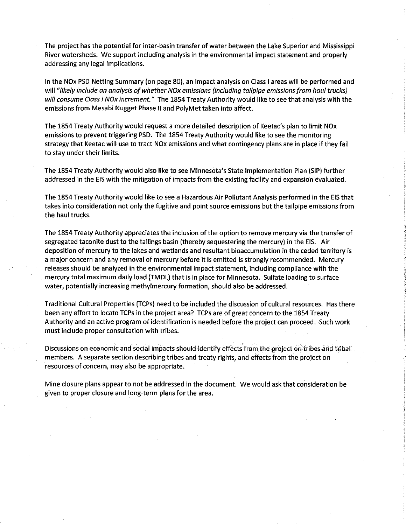The project has the potential for inter-basin transfer of water between the Lake Superior and Mississippi River watersheds. We support including analysis in the environmental impact statement and properly addressing any legal implications.

In the NOx PSD Netting Summary (on page 80), an impact analysis on Class I areas will be performed and will "likely include an analysis of whether NOx emissions (including tailpipe emissions from haul trucks) will consume Class I NOx increment." The 1854 Treaty Authority would like to see that analysis with the emissions from Mesabi Nugget Phase II and PolyMet taken into affect.

The 1854 Treaty Authority would request a more detailed description of Keetac's plan to limit NOx emissions to prevent triggering PSD. The 1854 Treaty Authority would like to see the monitoring strategy that Keetac will use to tract NOx emissions and what contingency plans are in place if they fail to stay under their limits.

The 1854 Treaty Authority would also like to see Minnesota's State Implementation Plan (SIP) further addressed in the EIS with the mitigation of impacts from the existing facility and expansion evaluated.

The 1854 Treaty Authority would like to see a Hazardous Air Pollutant Analysis performed in the EIS that takes into consideration not only the fugitive and point source emissions but the tailpipe emissions from the haul trucks.

The 1854 Treaty Authority appreciates the inclusion of the option to remove mercury via the transfer of segregated taconite dust to the tailings basin (thereby sequestering the mercury) in the EIS. Air deposition of mercury to the lakes and wetlands and resultant bioaccumulation in the ceded territory is a major concern and any removal of mercury before it is emitted is strongly recommended. Mercury releases should be analyzed in the environmental impact statement, including compliance with the mercury total maximum daily load (TMDL) that is in place for Minnesota. Sulfate loading to surface water, potentially increasing methylmercury formation, should also be addressed.

Traditional Cultural Properties (TCPs) need to be included the discussion of cultural resources. Has there been any effort to locate TCPs in the project area? TCPs are of great concern to the 1854 Treaty Authority and an active program of identification is needed before the project can proceed. Such work must include proper consultation with tribes.

Discussions on economic and social impacts should identify effects from the project on tribes and tribal members. A separate section describing tribes and treaty rights, and effects from the project on resources of concern, may also be appropriate.

Mine closure plans appear to not be addressed in the document. We would ask that consideration be given to proper closure and long-term plans for the area.